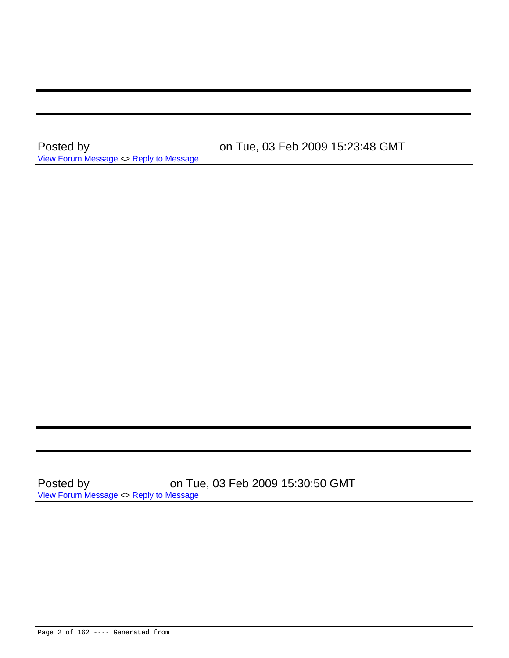Posted by<br>[View Forum Message](http://www.pravoverie.ru/index.php?t=rview&th=4911&goto=178297#msg_178297) <> [Reply to Message](http://www.pravoverie.ru/index.php?t=post&reply_to=178297)

on Tue, 03 Feb 2009 15:23:48 GMT

Posted by on Tue, 03 Feb 2009 15:30:50 GMT [View Forum Message](http://www.pravoverie.ru/index.php?t=rview&th=4911&goto=178299#msg_178299) <> [Reply to Message](http://www.pravoverie.ru/index.php?t=post&reply_to=178299)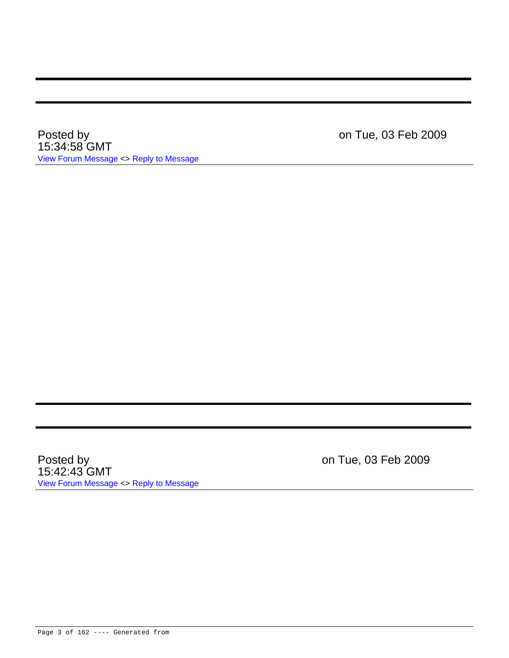Posted by<br>15:34:58 GMT [View Forum Message](http://www.pravoverie.ru/index.php?t=rview&th=4911&goto=178303#msg_178303) <> [Reply to Message](http://www.pravoverie.ru/index.php?t=post&reply_to=178303) on Tue, 03 Feb 2009

Posted by **Posted by Posted by Posted by on Tue, 03 Feb 2009** 15:42:43 GMT [View Forum Message](http://www.pravoverie.ru/index.php?t=rview&th=4911&goto=178305#msg_178305) <> [Reply to Message](http://www.pravoverie.ru/index.php?t=post&reply_to=178305)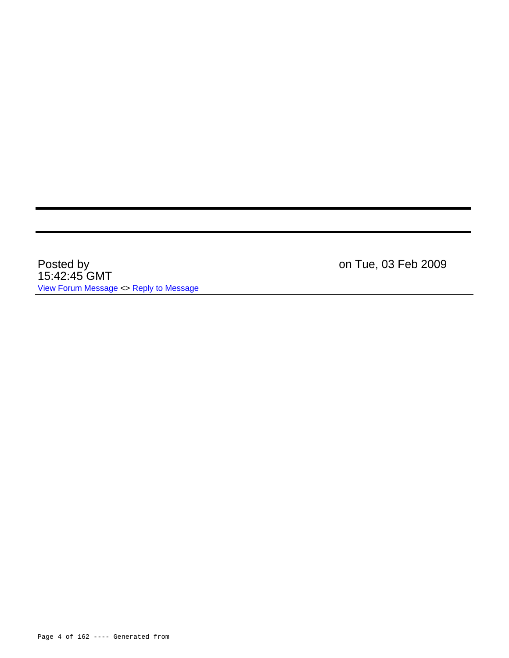Posted by<br>15:42:45 GMT [View Forum Message](http://www.pravoverie.ru/index.php?t=rview&th=4911&goto=178306#msg_178306) <> [Reply to Message](http://www.pravoverie.ru/index.php?t=post&reply_to=178306)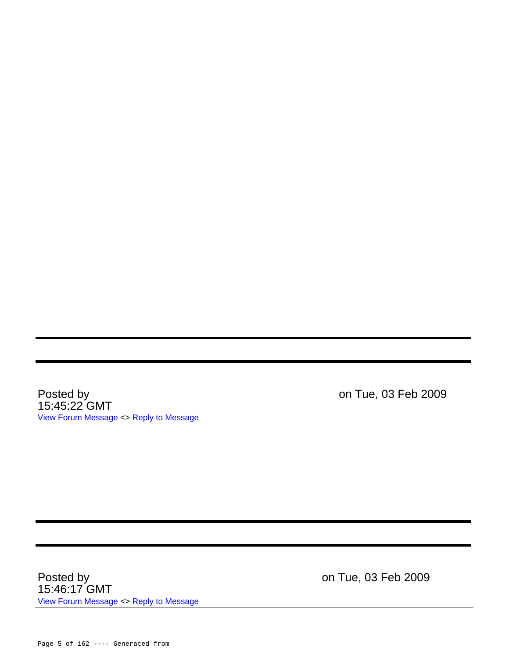Posted by a set of the contract of the contract on Tue, 03 Feb 2009 15:45:22 GMT [View Forum Message](http://www.pravoverie.ru/index.php?t=rview&th=4911&goto=178309#msg_178309) <> [Reply to Message](http://www.pravoverie.ru/index.php?t=post&reply_to=178309)

Posted by<br>15:46:17 GMT [View Forum Message](http://www.pravoverie.ru/index.php?t=rview&th=4911&goto=178310#msg_178310) <> [Reply to Message](http://www.pravoverie.ru/index.php?t=post&reply_to=178310)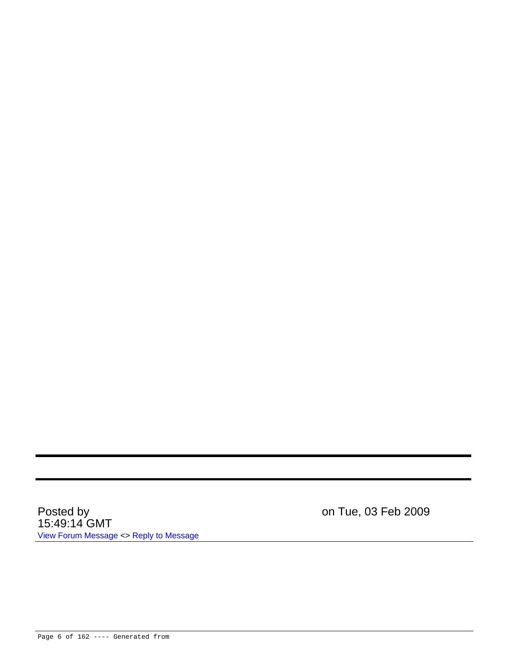Posted by<br>15:49:14 GMT [View Forum Message](http://www.pravoverie.ru/index.php?t=rview&th=4911&goto=178312#msg_178312) <> [Reply to Message](http://www.pravoverie.ru/index.php?t=post&reply_to=178312)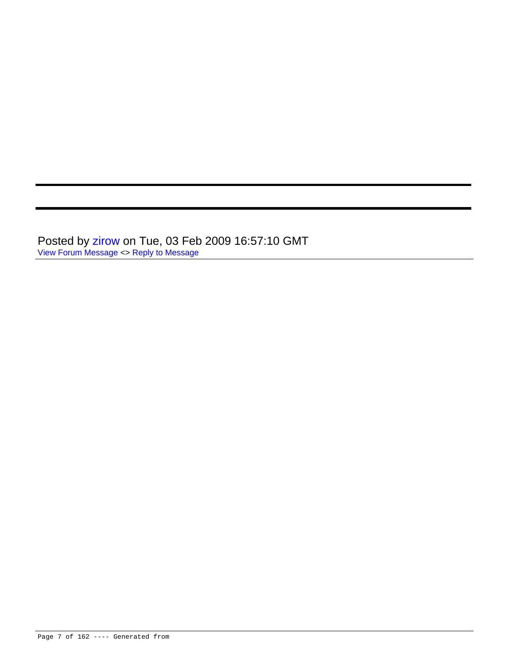Posted by [zirow](http://www.pravoverie.ru/index.php?t=usrinfo&id=3250) on Tue, 03 Feb 2009 16:57:10 GMT [View Forum Message](http://www.pravoverie.ru/index.php?t=rview&th=4911&goto=178340#msg_178340) <> [Reply to Message](http://www.pravoverie.ru/index.php?t=post&reply_to=178340)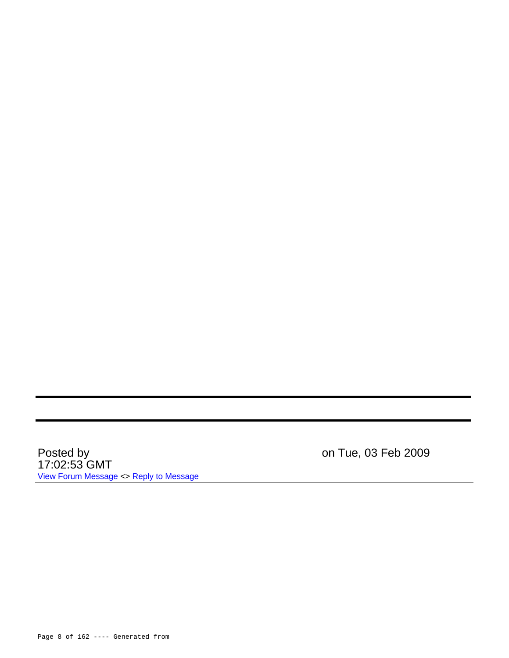Posted by<br>17:02:53 GMT [View Forum Message](http://www.pravoverie.ru/index.php?t=rview&th=4911&goto=178346#msg_178346) <> [Reply to Message](http://www.pravoverie.ru/index.php?t=post&reply_to=178346)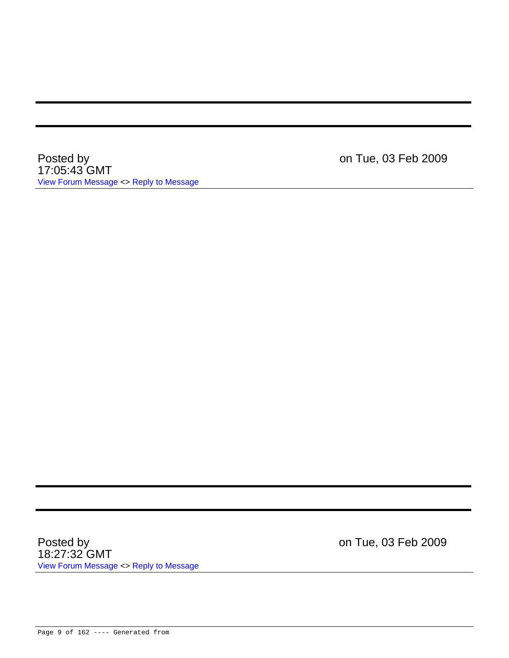Posted by<br>17:05:43 GMT [View Forum Message](http://www.pravoverie.ru/index.php?t=rview&th=4911&goto=178348#msg_178348) <> [Reply to Message](http://www.pravoverie.ru/index.php?t=post&reply_to=178348) on Tue, 03 Feb 2009

Posted by<br>18:27:32 GMT [View Forum Message](http://www.pravoverie.ru/index.php?t=rview&th=4911&goto=178414#msg_178414) <> [Reply to Message](http://www.pravoverie.ru/index.php?t=post&reply_to=178414)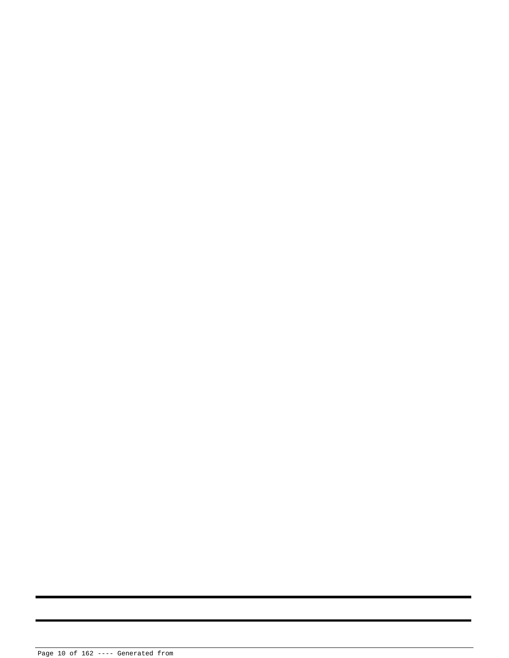Page 10 of 162 ---- Generated from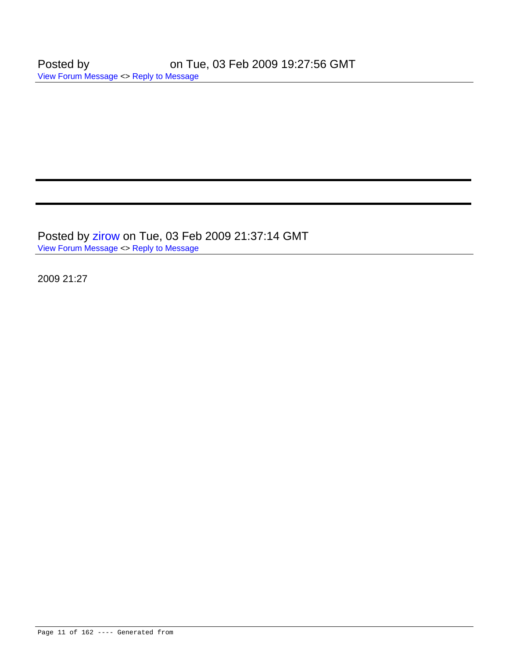Posted by [zirow](http://www.pravoverie.ru/index.php?t=usrinfo&id=3250) on Tue, 03 Feb 2009 21:37:14 GMT [View Forum Message](http://www.pravoverie.ru/index.php?t=rview&th=4911&goto=178473#msg_178473) <> [Reply to Message](http://www.pravoverie.ru/index.php?t=post&reply_to=178473)

2009 21:27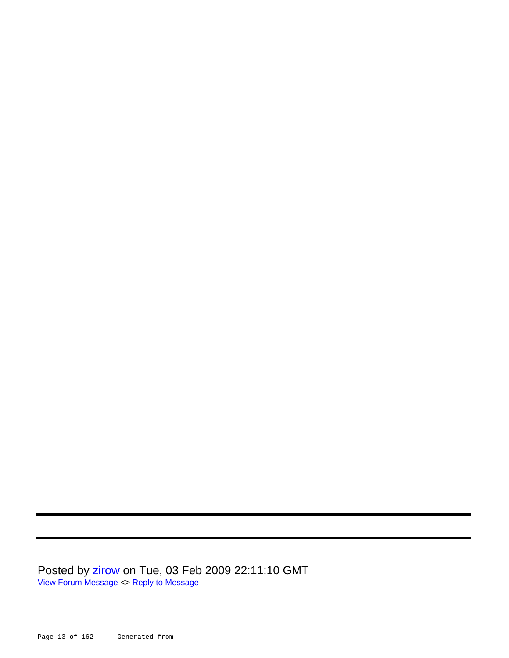Posted by [zirow](http://www.pravoverie.ru/index.php?t=usrinfo&id=3250) on Tue, 03 Feb 2009 22:11:10 GMT [View Forum Message](http://www.pravoverie.ru/index.php?t=rview&th=4911&goto=178483#msg_178483) <> [Reply to Message](http://www.pravoverie.ru/index.php?t=post&reply_to=178483)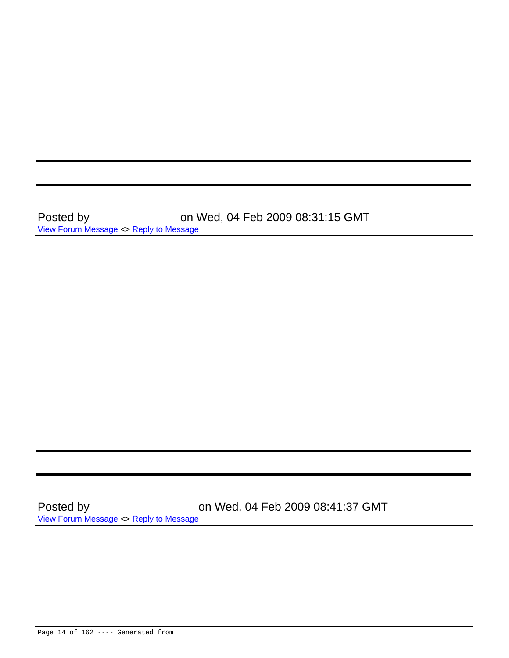Posted by on Wed, 04 Feb 2009 08:31:15 GMT [View Forum Message](http://www.pravoverie.ru/index.php?t=rview&th=4911&goto=178537#msg_178537) <> [Reply to Message](http://www.pravoverie.ru/index.php?t=post&reply_to=178537)

Posted by on Wed, 04 Feb 2009 08:41:37 GMT [View Forum Message](http://www.pravoverie.ru/index.php?t=rview&th=4911&goto=178538#msg_178538) <> [Reply to Message](http://www.pravoverie.ru/index.php?t=post&reply_to=178538)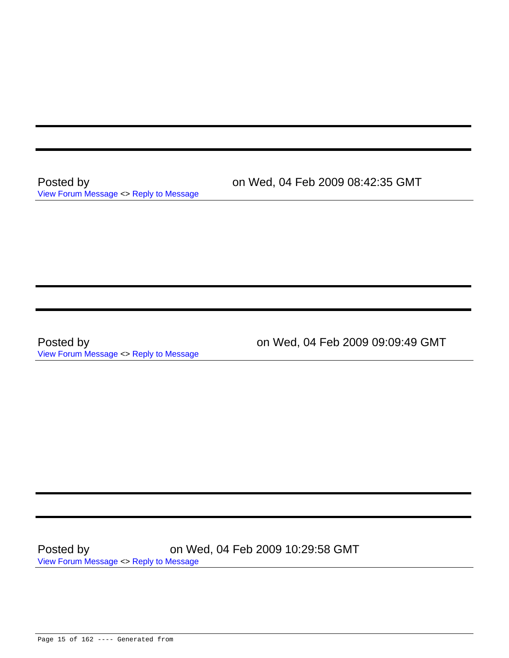Posted by<br>[View Forum Message](http://www.pravoverie.ru/index.php?t=rview&th=4911&goto=178539#msg_178539) <> [Reply to Message](http://www.pravoverie.ru/index.php?t=post&reply_to=178539)

on Wed, 04 Feb 2009 08:42:35 GMT

Posted by<br>[View Forum Message](http://www.pravoverie.ru/index.php?t=rview&th=4911&goto=178544#msg_178544) <> [Reply to Message](http://www.pravoverie.ru/index.php?t=post&reply_to=178544)

on Wed, 04 Feb 2009 09:09:49 GMT

on Wed, 04 Feb 2009 10:29:58 GMT [View Forum Message](http://www.pravoverie.ru/index.php?t=rview&th=4911&goto=178569#msg_178569) <> [Reply to Message](http://www.pravoverie.ru/index.php?t=post&reply_to=178569)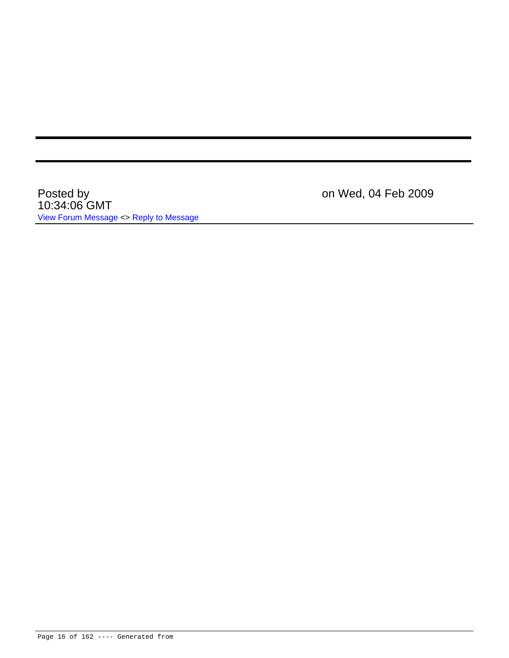Posted by<br>10:34:06 GMT [View Forum Message](http://www.pravoverie.ru/index.php?t=rview&th=4911&goto=178570#msg_178570) <> [Reply to Message](http://www.pravoverie.ru/index.php?t=post&reply_to=178570)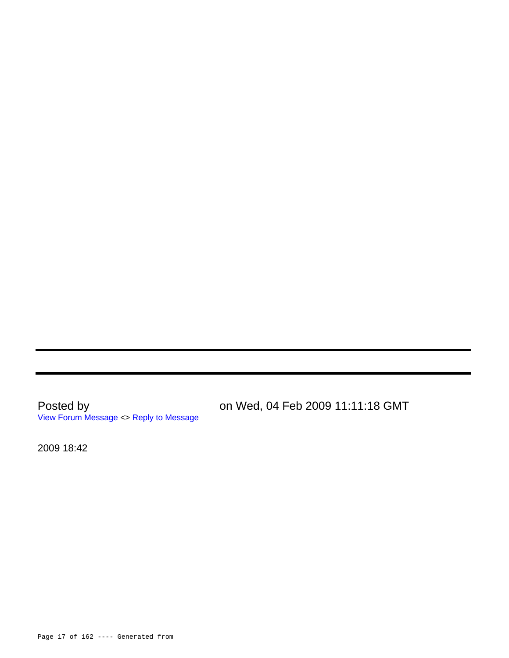Posted by<br>[View Forum Message](http://www.pravoverie.ru/index.php?t=rview&th=4911&goto=178587#msg_178587) <> [Reply to Message](http://www.pravoverie.ru/index.php?t=post&reply_to=178587)

on Wed, 04 Feb 2009 11:11:18 GMT

2009 18:42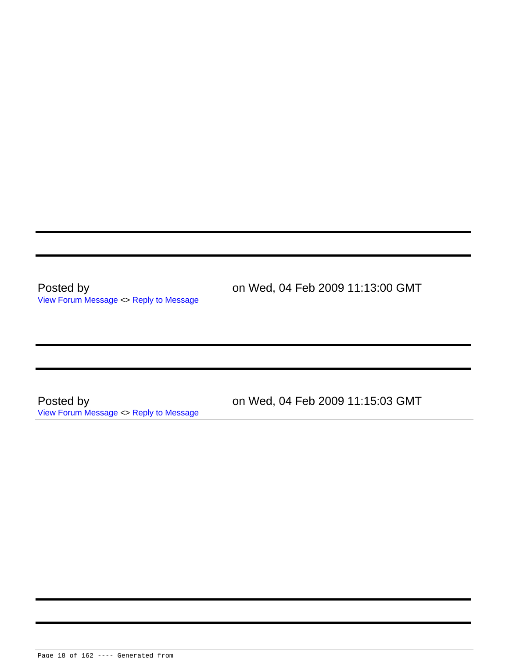Posted by<br>[View Forum Message](http://www.pravoverie.ru/index.php?t=rview&th=4911&goto=178588#msg_178588) <> [Reply to Message](http://www.pravoverie.ru/index.php?t=post&reply_to=178588)

on Wed, 04 Feb 2009 11:13:00 GMT

Posted by<br>[View Forum Message](http://www.pravoverie.ru/index.php?t=rview&th=4911&goto=178592#msg_178592) <> [Reply to Message](http://www.pravoverie.ru/index.php?t=post&reply_to=178592)

on Wed, 04 Feb 2009 11:15:03 GMT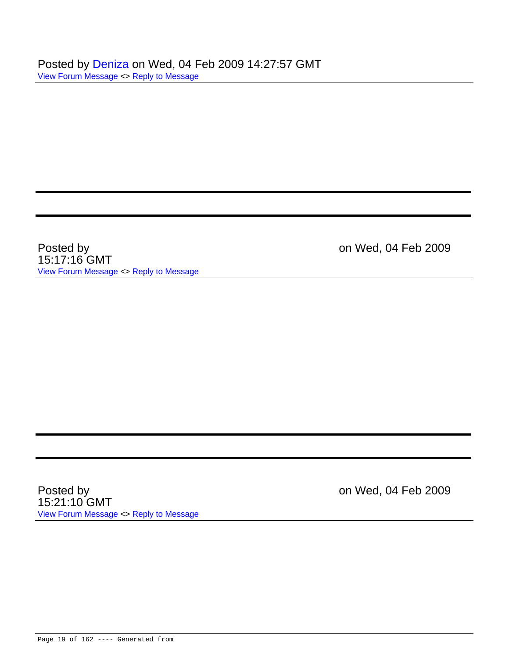Posted by **Posted by Posted by Posted by on Wed, 04 Feb 2009** 15:17:16 GMT [View Forum Message](http://www.pravoverie.ru/index.php?t=rview&th=4911&goto=178735#msg_178735) <> [Reply to Message](http://www.pravoverie.ru/index.php?t=post&reply_to=178735)

Posted by **Posted by Posted by Posted by on Wed, 04 Feb 2009** 15:21:10 GMT [View Forum Message](http://www.pravoverie.ru/index.php?t=rview&th=4911&goto=178738#msg_178738) <> [Reply to Message](http://www.pravoverie.ru/index.php?t=post&reply_to=178738)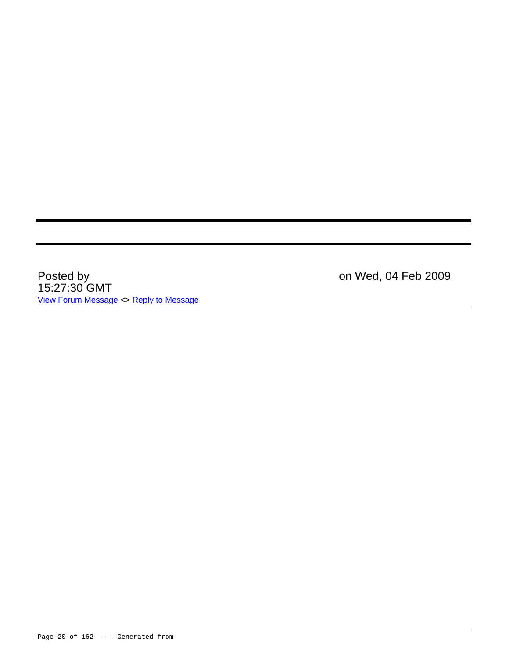Posted by<br>15:27:30 GMT [View Forum Message](http://www.pravoverie.ru/index.php?t=rview&th=4911&goto=178744#msg_178744) <> [Reply to Message](http://www.pravoverie.ru/index.php?t=post&reply_to=178744)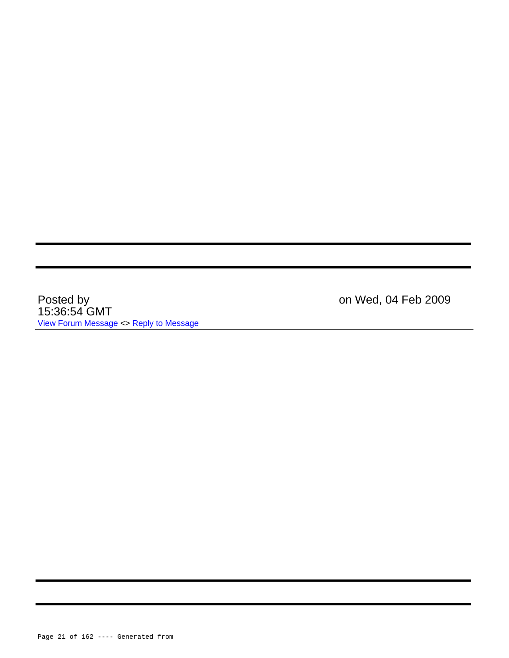Posted by<br>15:36:54 GMT [View Forum Message](http://www.pravoverie.ru/index.php?t=rview&th=4911&goto=178757#msg_178757) <> [Reply to Message](http://www.pravoverie.ru/index.php?t=post&reply_to=178757)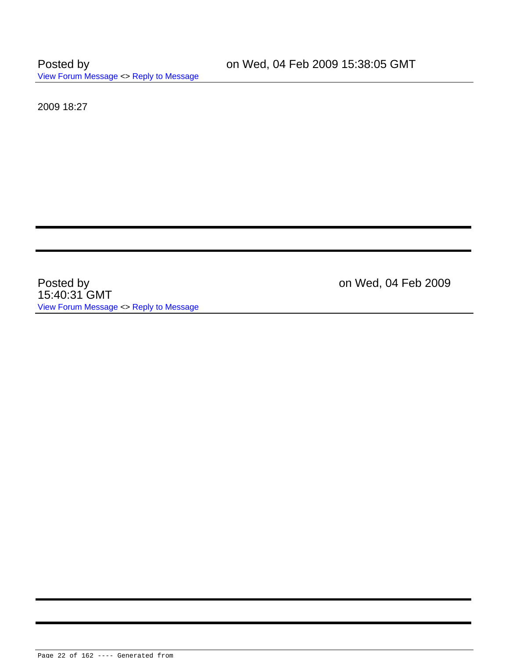2009 18:27

Posted by<br>15:40:31 GMT [View Forum Message](http://www.pravoverie.ru/index.php?t=rview&th=4911&goto=178763#msg_178763) <> [Reply to Message](http://www.pravoverie.ru/index.php?t=post&reply_to=178763)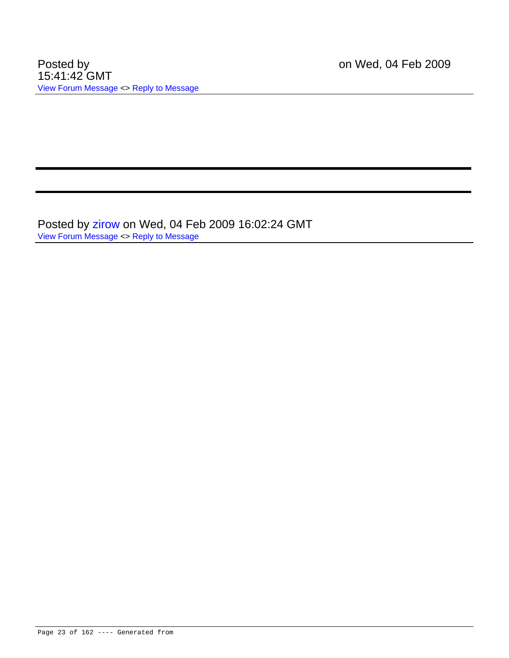Posted by [zirow](http://www.pravoverie.ru/index.php?t=usrinfo&id=3250) on Wed, 04 Feb 2009 16:02:24 GMT [View Forum Message](http://www.pravoverie.ru/index.php?t=rview&th=4911&goto=178790#msg_178790) <> [Reply to Message](http://www.pravoverie.ru/index.php?t=post&reply_to=178790)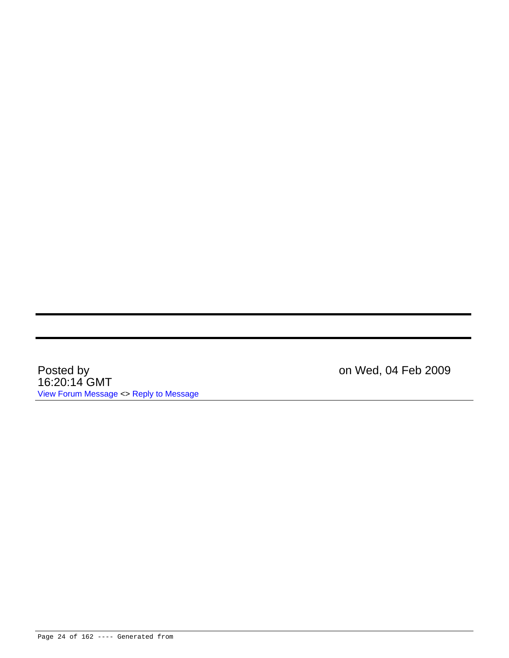Posted by<br>16:20:14 GMT [View Forum Message](http://www.pravoverie.ru/index.php?t=rview&th=4911&goto=178803#msg_178803) <> [Reply to Message](http://www.pravoverie.ru/index.php?t=post&reply_to=178803)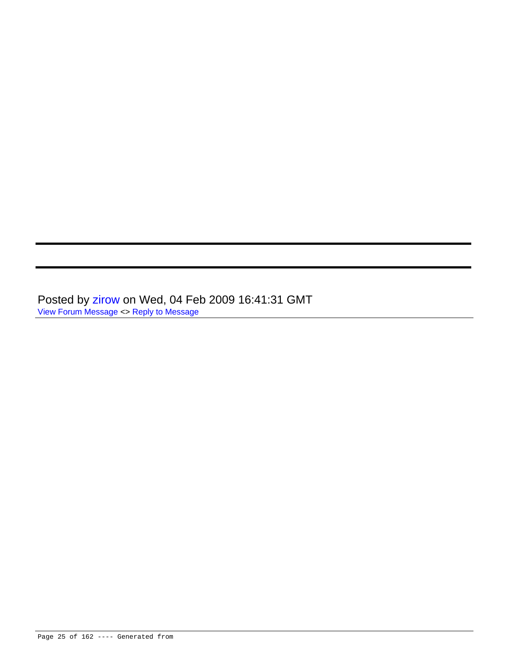Posted by [zirow](http://www.pravoverie.ru/index.php?t=usrinfo&id=3250) on Wed, 04 Feb 2009 16:41:31 GMT [View Forum Message](http://www.pravoverie.ru/index.php?t=rview&th=4911&goto=178809#msg_178809) <> [Reply to Message](http://www.pravoverie.ru/index.php?t=post&reply_to=178809)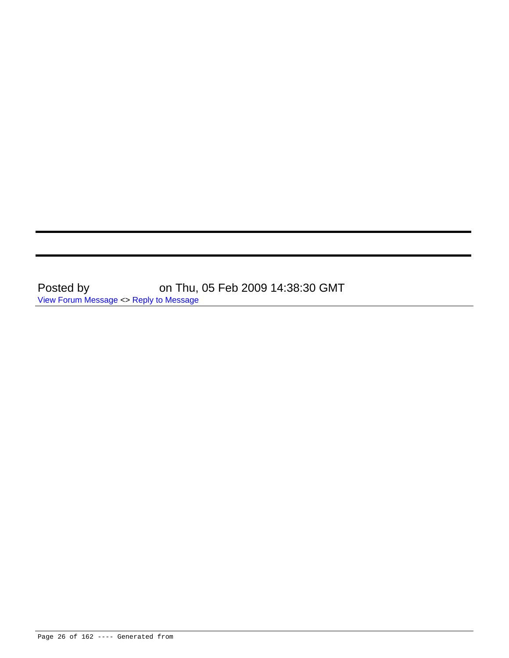on Thu, 05 Feb 2009 14:38:30 GMT Posted by on Thu,<br>[View Forum Message](http://www.pravoverie.ru/index.php?t=rview&th=4911&goto=179445#msg_179445) <> [Reply to Message](http://www.pravoverie.ru/index.php?t=post&reply_to=179445)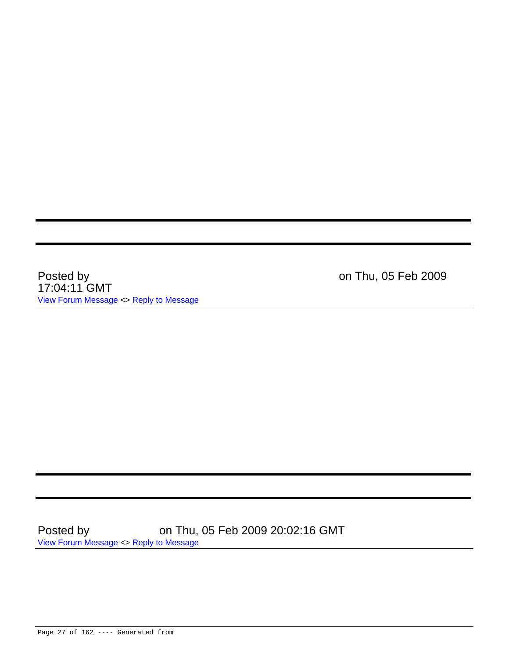Posted by<br>17:04:11 GMT [View Forum Message](http://www.pravoverie.ru/index.php?t=rview&th=4911&goto=179533#msg_179533) <> [Reply to Message](http://www.pravoverie.ru/index.php?t=post&reply_to=179533) on Thu, 05 Feb 2009

Posted by on Thu, 05 Feb 2009 20:02:16 GMT [View Forum Message](http://www.pravoverie.ru/index.php?t=rview&th=4911&goto=179654#msg_179654) <> [Reply to Message](http://www.pravoverie.ru/index.php?t=post&reply_to=179654)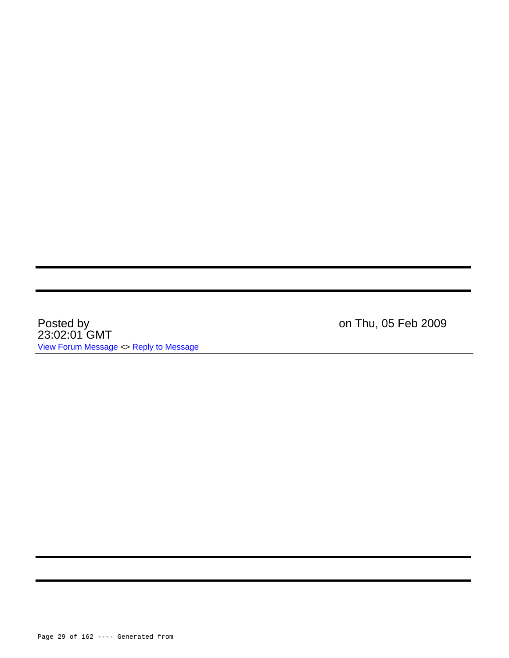Posted by<br>23:02:01 GMT [View Forum Message](http://www.pravoverie.ru/index.php?t=rview&th=4911&goto=179687#msg_179687) <> [Reply to Message](http://www.pravoverie.ru/index.php?t=post&reply_to=179687) on Thu, 05 Feb 2009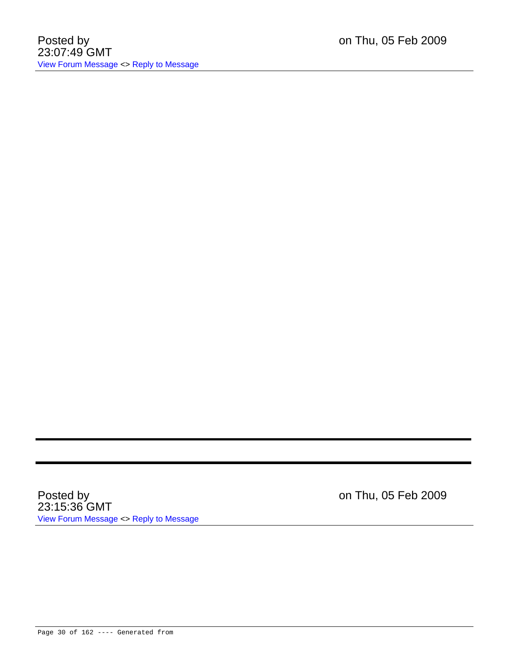Posted by **Posted by Posted by Posted by on Thu, 05 Feb 2009** 23:15:36 GMT [View Forum Message](http://www.pravoverie.ru/index.php?t=rview&th=4911&goto=179692#msg_179692) <> [Reply to Message](http://www.pravoverie.ru/index.php?t=post&reply_to=179692)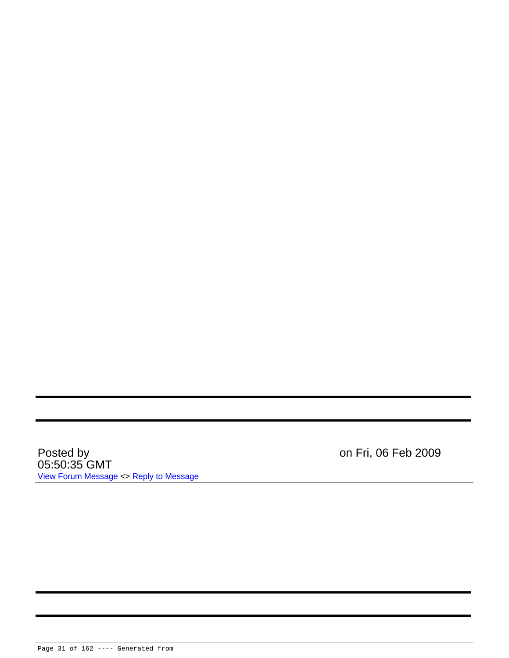Posted by<br>05:50:35 GMT [View Forum Message](http://www.pravoverie.ru/index.php?t=rview&th=4911&goto=179726#msg_179726) <> [Reply to Message](http://www.pravoverie.ru/index.php?t=post&reply_to=179726)

on Fri, 06 Feb 2009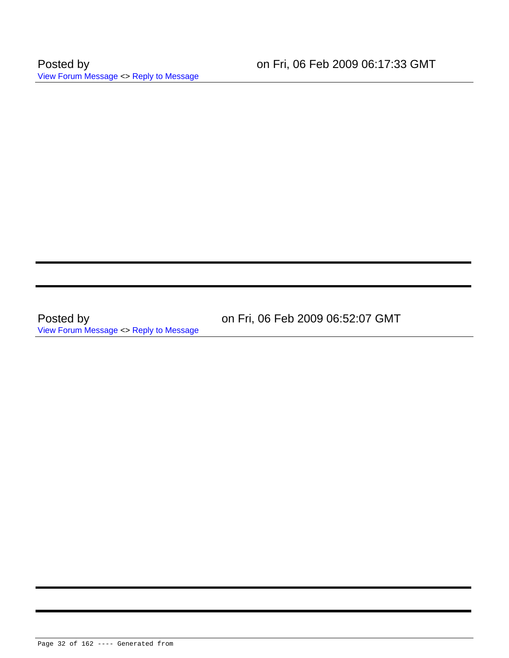[View Forum Message](http://www.pravoverie.ru/index.php?t=rview&th=4911&goto=179758#msg_179758) <> [Reply to Message](http://www.pravoverie.ru/index.php?t=post&reply_to=179758)

Posted by on Fri, 06 Feb 2009 06:52:07 GMT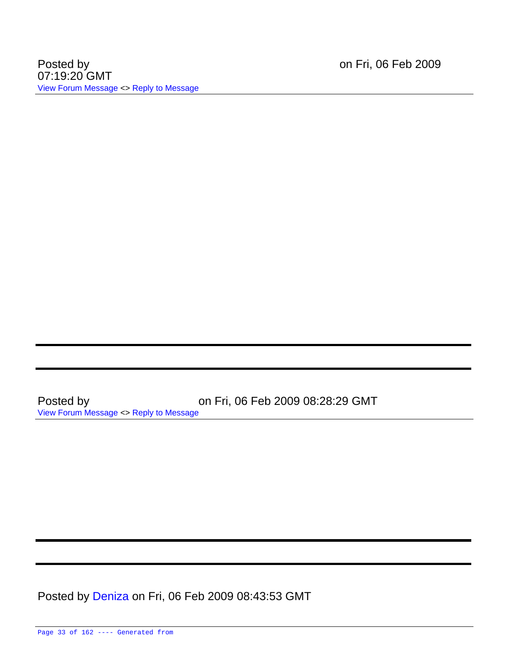Posted by on Fri, 06 Feb 2009 08:28:29 GMT [View Forum Message](http://www.pravoverie.ru/index.php?t=rview&th=4911&goto=179834#msg_179834) <> [Reply to Message](http://www.pravoverie.ru/index.php?t=post&reply_to=179834)

Posted by [Deniza](http://www.pravoverie.ru/index.php?t=usrinfo&id=2199) on Fri, 06 Feb 2009 08:43:53 GMT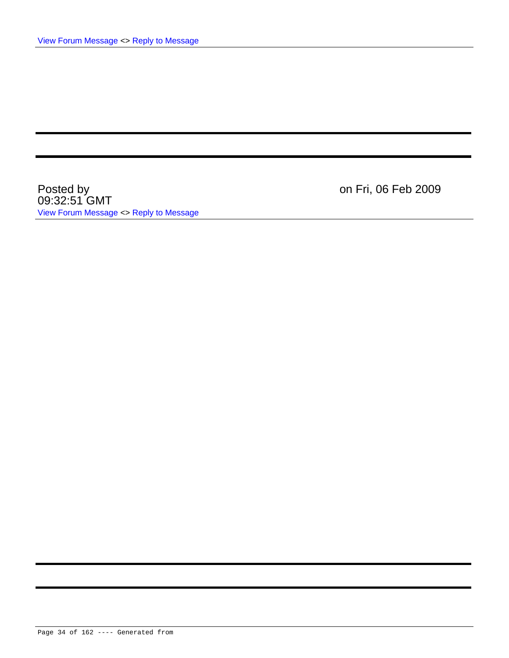Posted by<br>09:32:51 GMT [View Forum Message](http://www.pravoverie.ru/index.php?t=rview&th=4911&goto=179860#msg_179860) <> [Reply to Message](http://www.pravoverie.ru/index.php?t=post&reply_to=179860) on Fri, 06 Feb 2009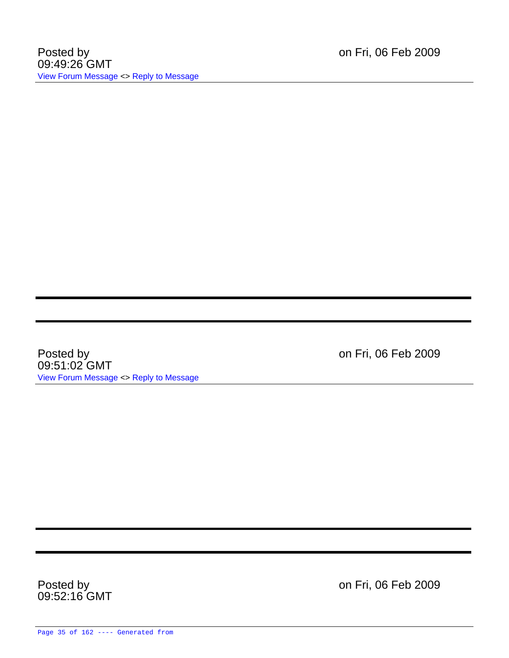Posted by **Posted by Posted by Posted by provided by provided by provided by provided by provided by provided by provided by provided by provided by provided by provided by** 09:51:02 GMT [View Forum Message](http://www.pravoverie.ru/index.php?t=rview&th=4911&goto=179871#msg_179871) <> [Reply to Message](http://www.pravoverie.ru/index.php?t=post&reply_to=179871)

Posted by<br>09:52:16 GMT

on Fri, 06 Feb 2009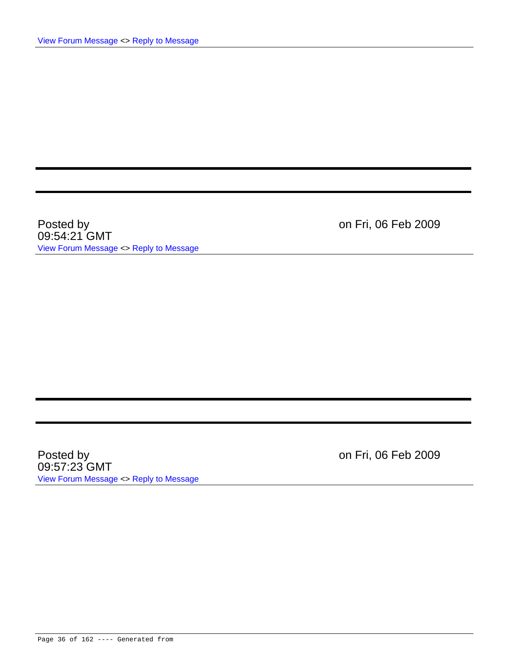Posted by<br>09:54:21 GMT [View Forum Message](http://www.pravoverie.ru/index.php?t=rview&th=4911&goto=179875#msg_179875) <> [Reply to Message](http://www.pravoverie.ru/index.php?t=post&reply_to=179875)

on Fri, 06 Feb 2009

Posted by **Posted by Posted by Posted by provided by provided by provided by provided by provided by provided by provided by provided by provided by provided by provided by** 09:57:23 GMT [View Forum Message](http://www.pravoverie.ru/index.php?t=rview&th=4911&goto=179878#msg_179878) <> [Reply to Message](http://www.pravoverie.ru/index.php?t=post&reply_to=179878)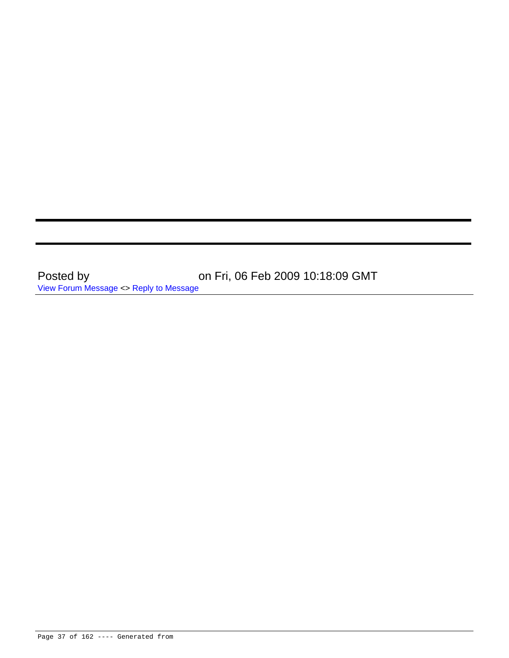on Fri, 06 Feb 2009 10:18:09 GMT Posted by<br>[View Forum Message](http://www.pravoverie.ru/index.php?t=rview&th=4911&goto=179888#msg_179888) <> [Reply to Message](http://www.pravoverie.ru/index.php?t=post&reply_to=179888)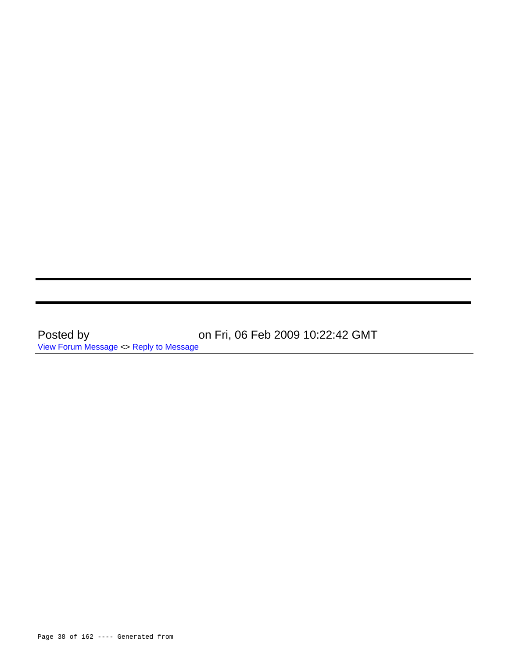on Fri, 06 Feb 2009 10:22:42 GMT Posted by<br>[View Forum Message](http://www.pravoverie.ru/index.php?t=rview&th=4911&goto=179892#msg_179892) <> [Reply to Message](http://www.pravoverie.ru/index.php?t=post&reply_to=179892)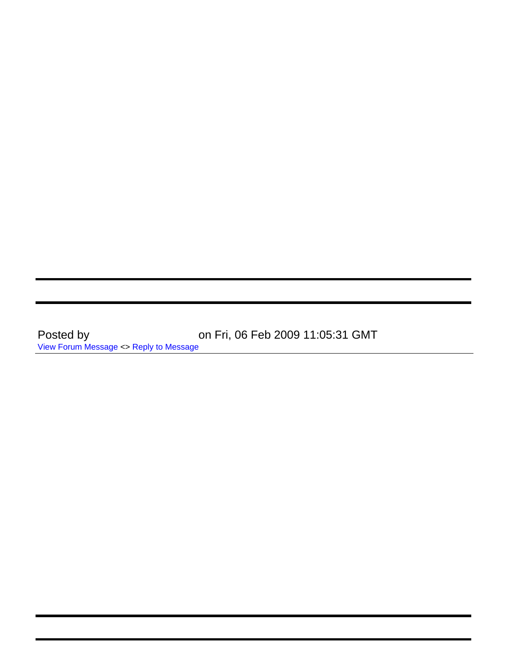on Fri, 06 Feb 2009 11:05:31 GMT Posted by<br>[View Forum Message](http://www.pravoverie.ru/index.php?t=rview&th=4911&goto=179918#msg_179918) <> [Reply to Message](http://www.pravoverie.ru/index.php?t=post&reply_to=179918)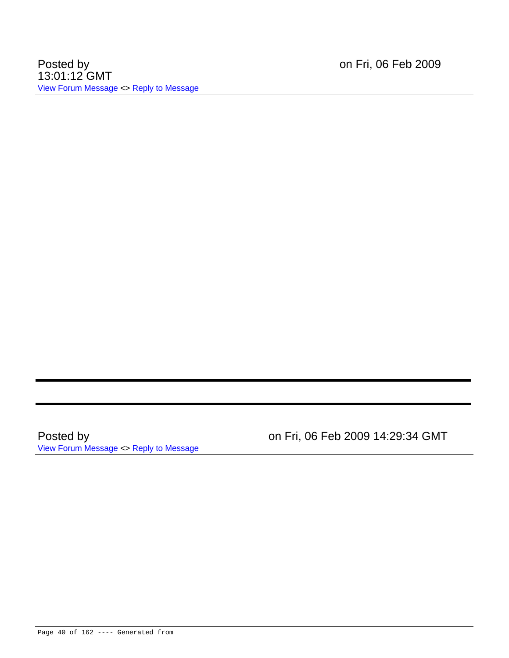Posted by<br>[View Forum Message](http://www.pravoverie.ru/index.php?t=rview&th=4911&goto=180036#msg_180036) <> [Reply to Message](http://www.pravoverie.ru/index.php?t=post&reply_to=180036)

on Fri, 06 Feb 2009 14:29:34 GMT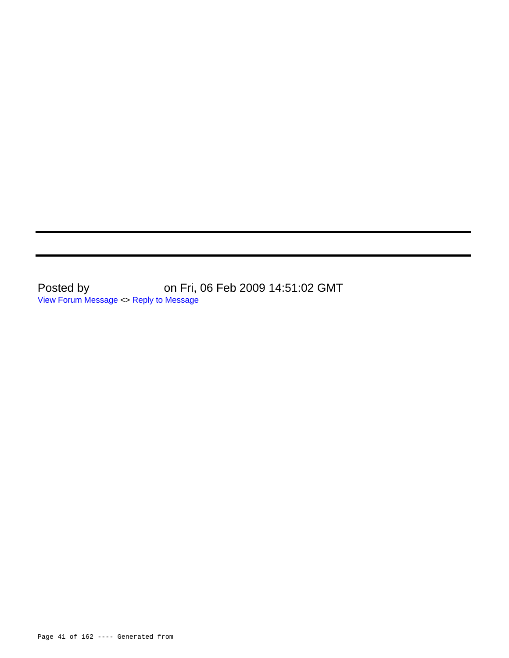on Fri, 06 Feb 2009 14:51:02 GMT Posted by on Fri,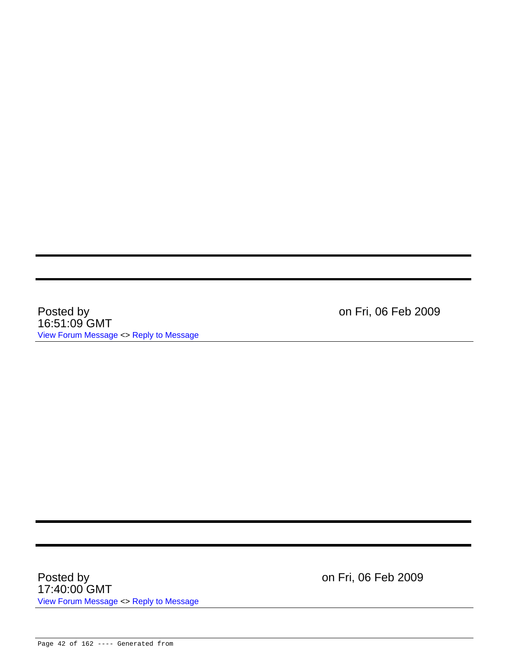Posted by<br>16:51:09 GMT [View Forum Message](http://www.pravoverie.ru/index.php?t=rview&th=4911&goto=180101#msg_180101) <> [Reply to Message](http://www.pravoverie.ru/index.php?t=post&reply_to=180101) on Fri, 06 Feb 2009

Posted by<br>17:40:00 GMT [View Forum Message](http://www.pravoverie.ru/index.php?t=rview&th=4911&goto=180119#msg_180119) <> [Reply to Message](http://www.pravoverie.ru/index.php?t=post&reply_to=180119) on Fri, 06 Feb 2009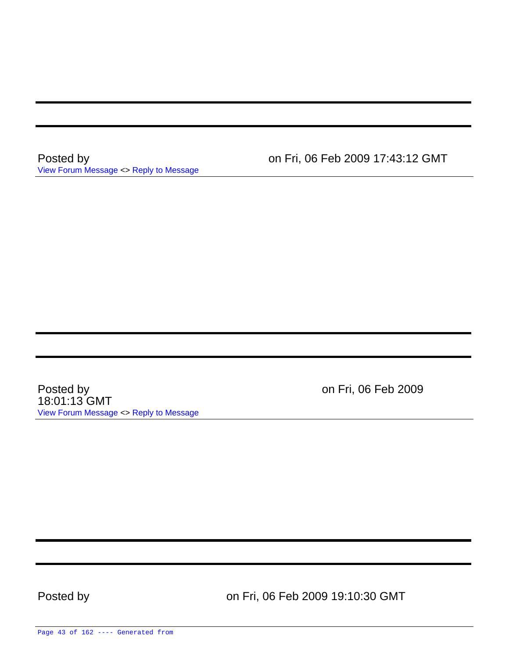[View Forum Message](http://www.pravoverie.ru/index.php?t=rview&th=4911&goto=180120#msg_180120) <> [Reply to Message](http://www.pravoverie.ru/index.php?t=post&reply_to=180120)

Posted by **Posted by on Fri, 06 Feb 2009 17:43:12 GMT** 

Posted by **Posted by Posted by Posted by provided by provided by provided by provided by provided by provided by provided by provided by provided by provided by provided by** 18:01:13 GMT [View Forum Message](http://www.pravoverie.ru/index.php?t=rview&th=4911&goto=180128#msg_180128) <> [Reply to Message](http://www.pravoverie.ru/index.php?t=post&reply_to=180128)

Posted by on Fri, 06 Feb 2009 19:10:30 GMT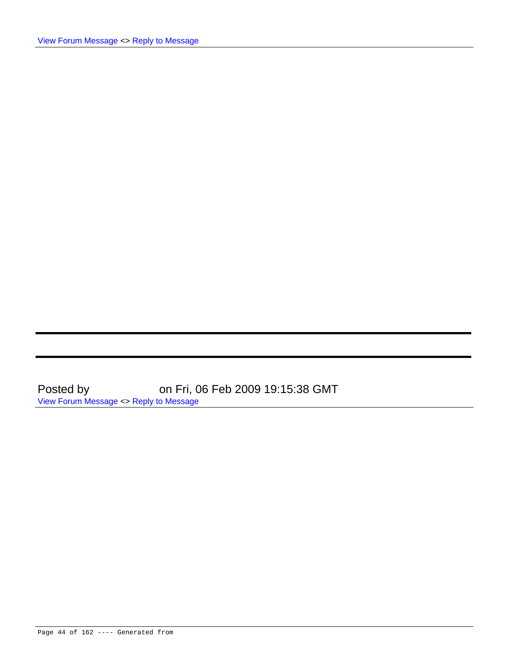Posted by on Fri, 06 Feb 2009 19:15:38 GMT [View Forum Message](http://www.pravoverie.ru/index.php?t=rview&th=4911&goto=180162#msg_180162) <> [Reply to Message](http://www.pravoverie.ru/index.php?t=post&reply_to=180162)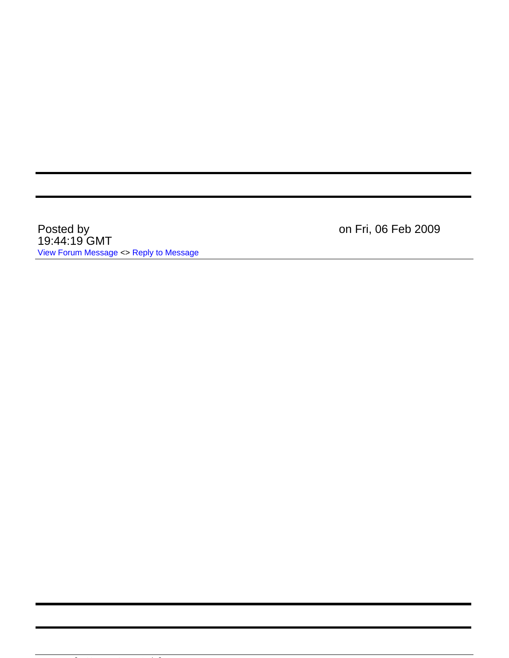Posted by<br>19:44:19 GMT [View Forum Message](http://www.pravoverie.ru/index.php?t=rview&th=4911&goto=180174#msg_180174) <> [Reply to Message](http://www.pravoverie.ru/index.php?t=post&reply_to=180174)

on Fri, 06 Feb 2009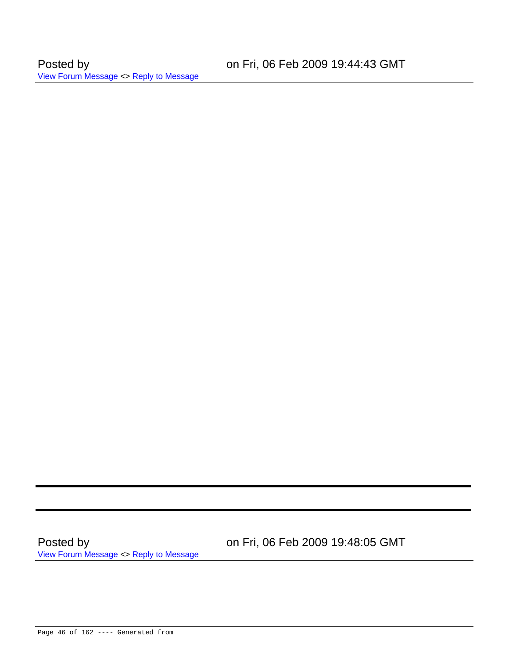[View Forum Message](http://www.pravoverie.ru/index.php?t=rview&th=4911&goto=180178#msg_180178) <> [Reply to Message](http://www.pravoverie.ru/index.php?t=post&reply_to=180178)

Posted by on Fri, 06 Feb 2009 19:48:05 GMT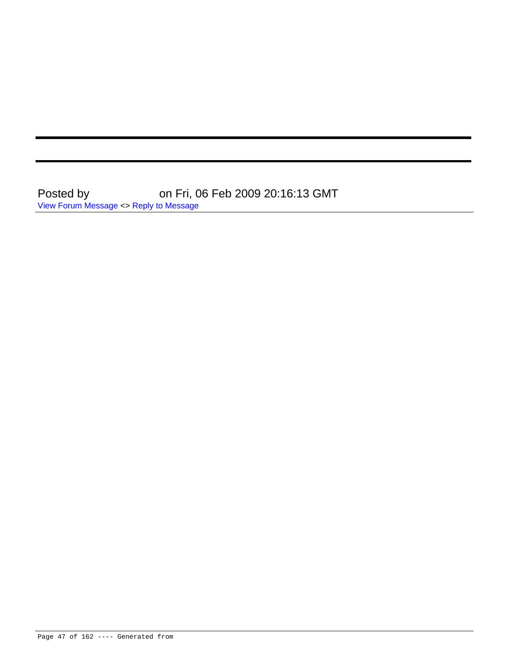on Fri, 06 Feb 2009 20:16:13 GMT Posted by on Fri, 0<br>[View Forum Message](http://www.pravoverie.ru/index.php?t=rview&th=4911&goto=180182#msg_180182) <> [Reply to Message](http://www.pravoverie.ru/index.php?t=post&reply_to=180182)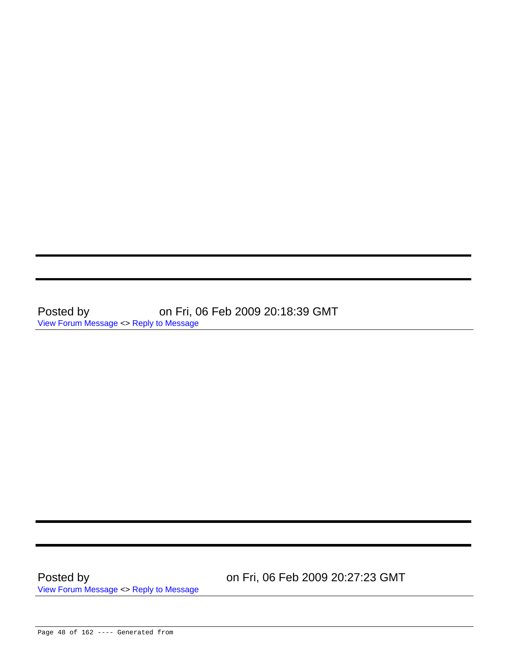Posted by on Fri, 06 Feb 2009 20:18:39 GMT [View Forum Message](http://www.pravoverie.ru/index.php?t=rview&th=4911&goto=180183#msg_180183) <> [Reply to Message](http://www.pravoverie.ru/index.php?t=post&reply_to=180183)

Posted by on Fri, 06 Feb 2009 20:27:23 GMT

[View Forum Message](http://www.pravoverie.ru/index.php?t=rview&th=4911&goto=180185#msg_180185) <> [Reply to Message](http://www.pravoverie.ru/index.php?t=post&reply_to=180185)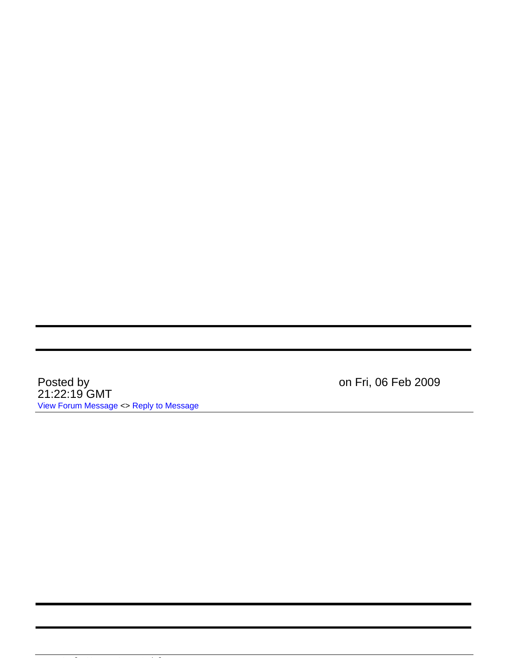Posted by<br>21:22:19 GMT [View Forum Message](http://www.pravoverie.ru/index.php?t=rview&th=4911&goto=180201#msg_180201) <> [Reply to Message](http://www.pravoverie.ru/index.php?t=post&reply_to=180201) on Fri, 06 Feb 2009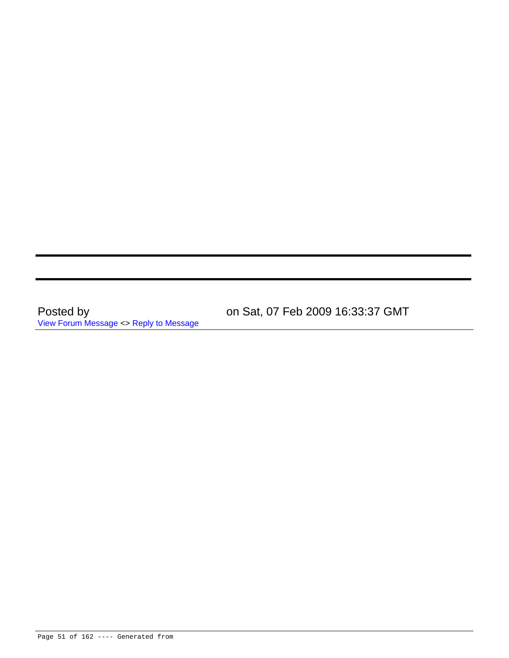Posted by<br>[View Forum Message](http://www.pravoverie.ru/index.php?t=rview&th=4911&goto=180332#msg_180332) <> [Reply to Message](http://www.pravoverie.ru/index.php?t=post&reply_to=180332)

on Sat, 07 Feb 2009 16:33:37 GMT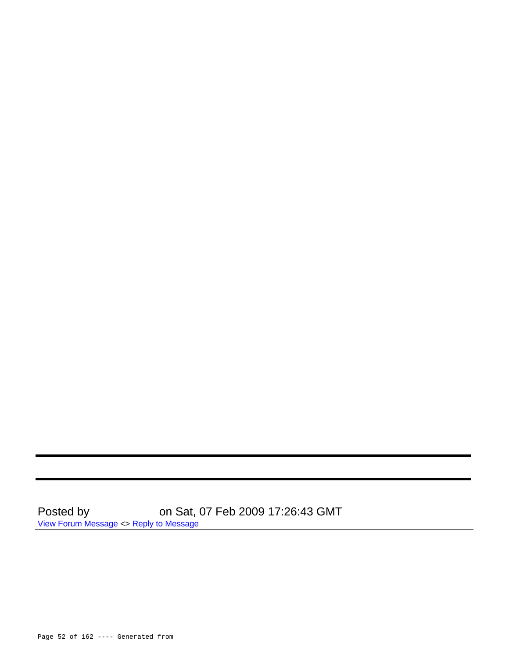on Sat, 07 Feb 2009 17:26:43 GMT Posted by on Sat, (<br>[View Forum Message](http://www.pravoverie.ru/index.php?t=rview&th=4911&goto=180355#msg_180355) <> [Reply to Message](http://www.pravoverie.ru/index.php?t=post&reply_to=180355)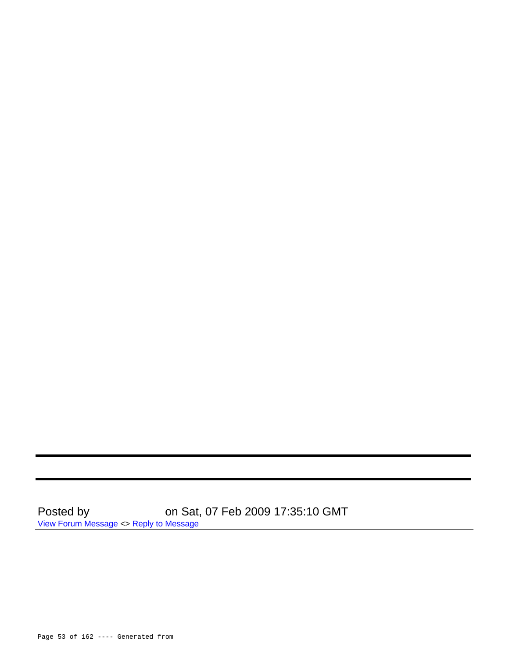on Sat, 07 Feb 2009 17:35:10 GMT Posted by on Sat,<br>[View Forum Message](http://www.pravoverie.ru/index.php?t=rview&th=4911&goto=180364#msg_180364) <> [Reply to Message](http://www.pravoverie.ru/index.php?t=post&reply_to=180364)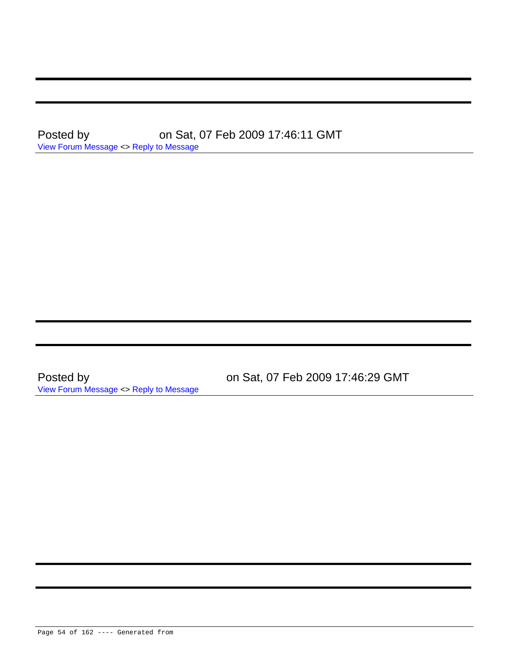| Posted by                              | on Sat, 07 Feb 2009 17:46:11 GMT |  |
|----------------------------------------|----------------------------------|--|
| View Forum Message <> Reply to Message |                                  |  |

[View Forum Message](http://www.pravoverie.ru/index.php?t=rview&th=4911&goto=180370#msg_180370) <> [Reply to Message](http://www.pravoverie.ru/index.php?t=post&reply_to=180370)

Posted by **Discrete Posted by Connect 2009 17:46:29 GMT**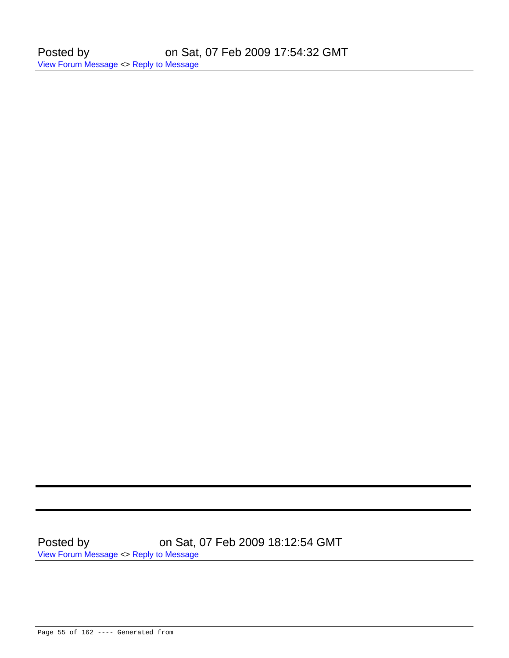on Sat, 07 Feb 2009 18:12:54 GMT Posted by on Sat, On Sat, On Sat, On Sat, On Sat, On Sat, On Sat, On Sat, On Sat, On Sat, On Sat, On Sat, On Sat, On Sat, On Sat, On Sat, On Sat, On Sat, On Sat, On Sat, On Sat, On Sat, On Sat, On Sat, On Sat, On Sat, On S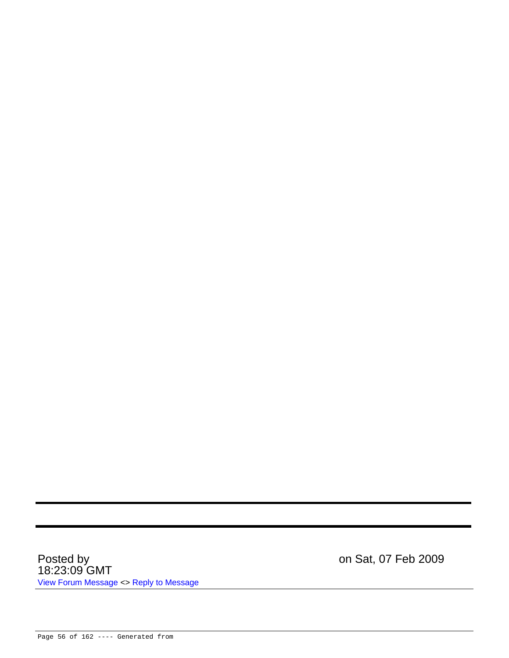Posted by<br>18:23:09 GMT [View Forum Message](http://www.pravoverie.ru/index.php?t=rview&th=4911&goto=180388#msg_180388) <> [Reply to Message](http://www.pravoverie.ru/index.php?t=post&reply_to=180388)

on Sat, 07 Feb 2009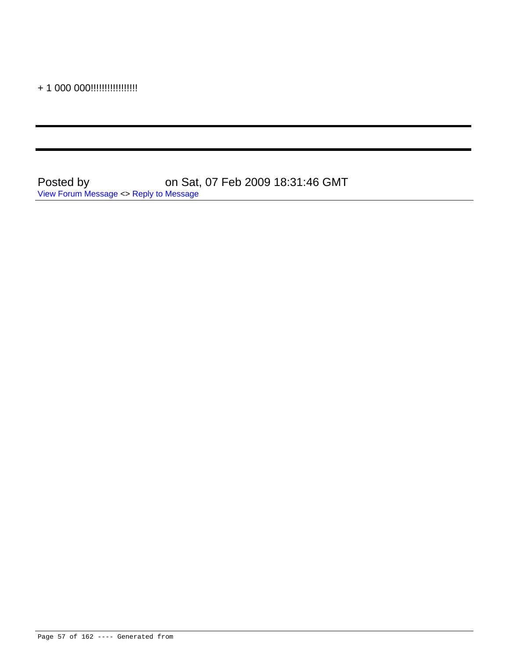## + 1 000 000!!!!!!!!!!!!!!!!!!!

on Sat, 07 Feb 2009 18:31:46 GMT Posted by on Sat,<br>[View Forum Message](http://www.pravoverie.ru/index.php?t=rview&th=4911&goto=180395#msg_180395) <> [Reply to Message](http://www.pravoverie.ru/index.php?t=post&reply_to=180395)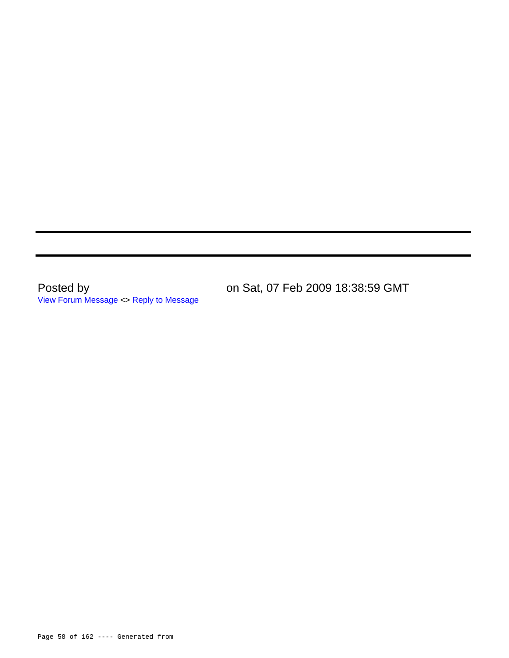Posted by<br>[View Forum Message](http://www.pravoverie.ru/index.php?t=rview&th=4911&goto=180402#msg_180402) <> [Reply to Message](http://www.pravoverie.ru/index.php?t=post&reply_to=180402)

on Sat, 07 Feb 2009 18:38:59 GMT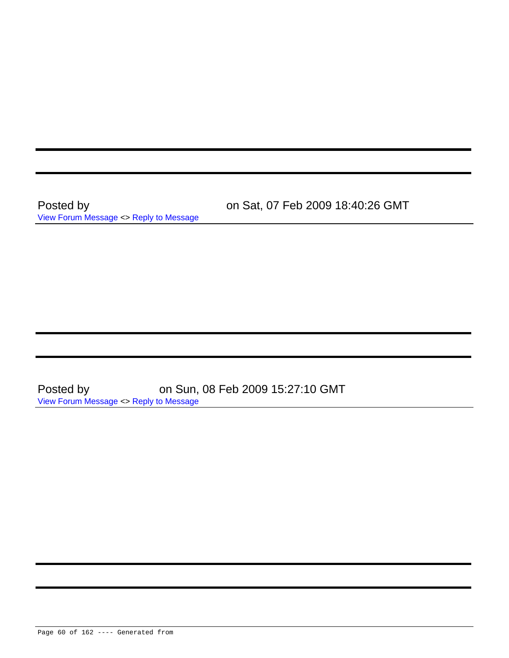[View Forum Message](http://www.pravoverie.ru/index.php?t=rview&th=4911&goto=180405#msg_180405) <> [Reply to Message](http://www.pravoverie.ru/index.php?t=post&reply_to=180405)

Posted by **Discrete Posted by CONT on Sat, 07 Feb 2009 18:40:26 GMT** 

Posted by on Sun, 08 Feb 2009 15:27:10 GMT [View Forum Message](http://www.pravoverie.ru/index.php?t=rview&th=4911&goto=180587#msg_180587) <> [Reply to Message](http://www.pravoverie.ru/index.php?t=post&reply_to=180587)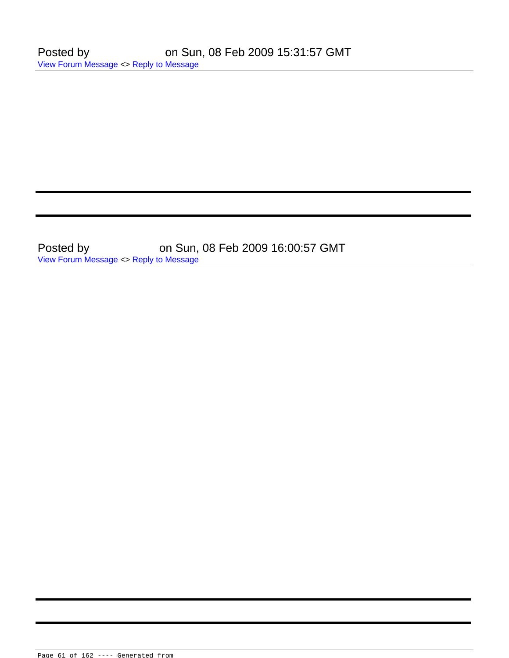on Sun, 08 Feb 2009 16:00:57 GMT Posted by on Sun, 0<br>[View Forum Message](http://www.pravoverie.ru/index.php?t=rview&th=4911&goto=180600#msg_180600) <> [Reply to Message](http://www.pravoverie.ru/index.php?t=post&reply_to=180600)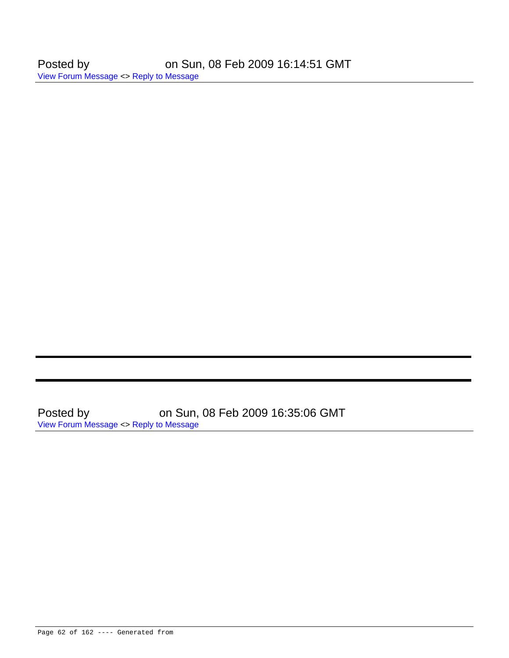Posted by on Sun, 08 Feb 2009 16:35:06 GMT [View Forum Message](http://www.pravoverie.ru/index.php?t=rview&th=4911&goto=180613#msg_180613) <> [Reply to Message](http://www.pravoverie.ru/index.php?t=post&reply_to=180613)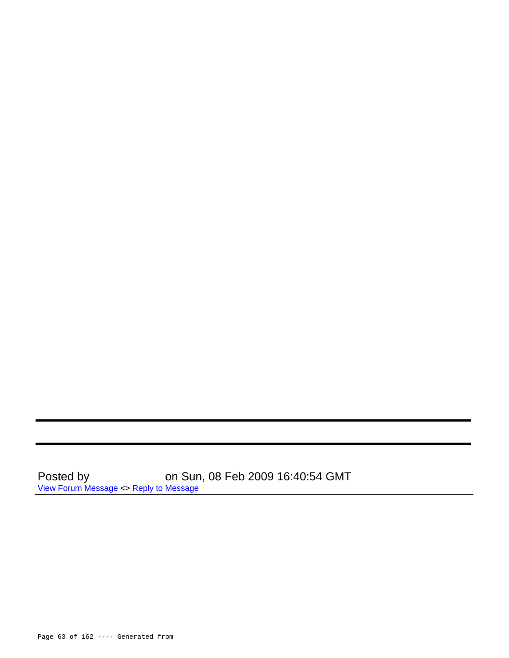on Sun, 08 Feb 2009 16:40:54 GMT [View Forum Message](http://www.pravoverie.ru/index.php?t=rview&th=4911&goto=180615#msg_180615) <> [Reply to Message](http://www.pravoverie.ru/index.php?t=post&reply_to=180615)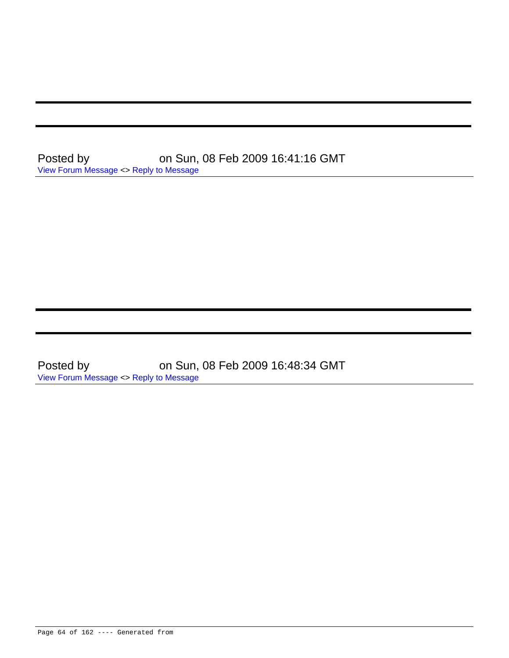| Posted by                              | on Sun, 08 Feb 2009 16:41:16 GMT |
|----------------------------------------|----------------------------------|
| View Forum Message <> Reply to Message |                                  |

on Sun, 08 Feb 2009 16:48:34 GMT Posted by on Sun,<br>[View Forum Message](http://www.pravoverie.ru/index.php?t=rview&th=4911&goto=180620#msg_180620) <> [Reply to Message](http://www.pravoverie.ru/index.php?t=post&reply_to=180620)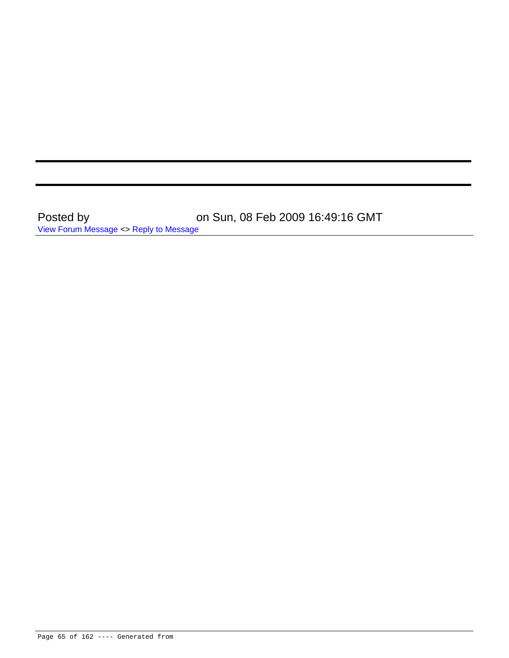Posted by **Disk and Sun, 08 Feb 2009 16:49:16 GMT** [View Forum Message](http://www.pravoverie.ru/index.php?t=rview&th=4911&goto=180621#msg_180621) <> [Reply to Message](http://www.pravoverie.ru/index.php?t=post&reply_to=180621)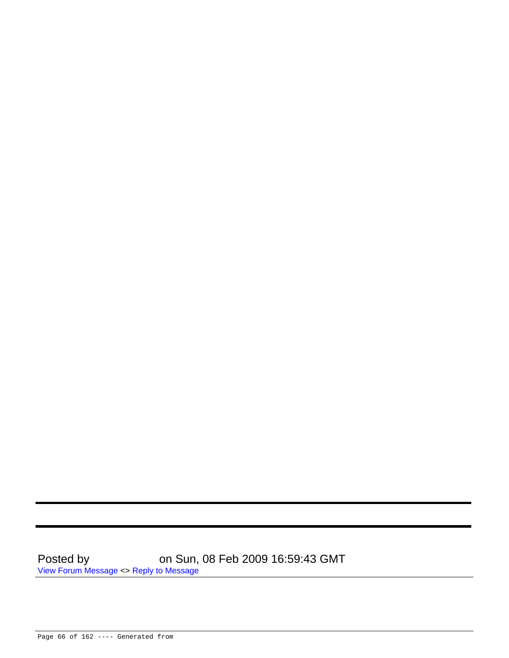on Sun, 08 Feb 2009 16:59:43 GMT Posted by on Sun,<br>[View Forum Message](http://www.pravoverie.ru/index.php?t=rview&th=4911&goto=180624#msg_180624) <> [Reply to Message](http://www.pravoverie.ru/index.php?t=post&reply_to=180624)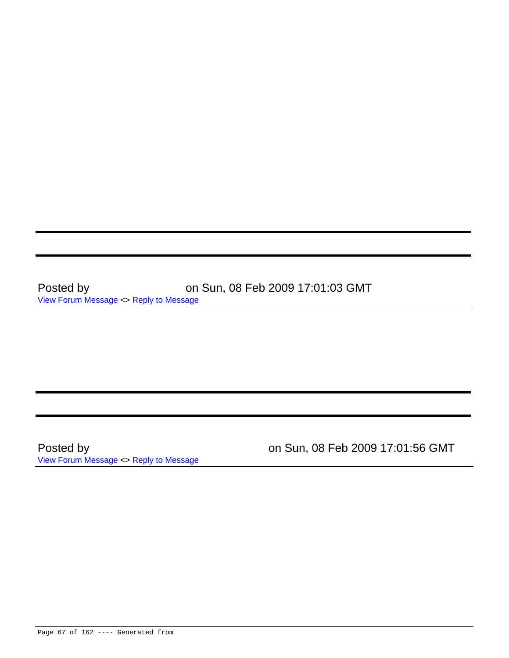| Posted by                              |  | on Sun, 08 Feb 2009 17:01:03 GMT |
|----------------------------------------|--|----------------------------------|
| View Forum Message <> Reply to Message |  |                                  |

Posted by<br>[View Forum Message](http://www.pravoverie.ru/index.php?t=rview&th=4911&goto=180626#msg_180626) <> [Reply to Message](http://www.pravoverie.ru/index.php?t=post&reply_to=180626)

on Sun, 08 Feb 2009 17:01:56 GMT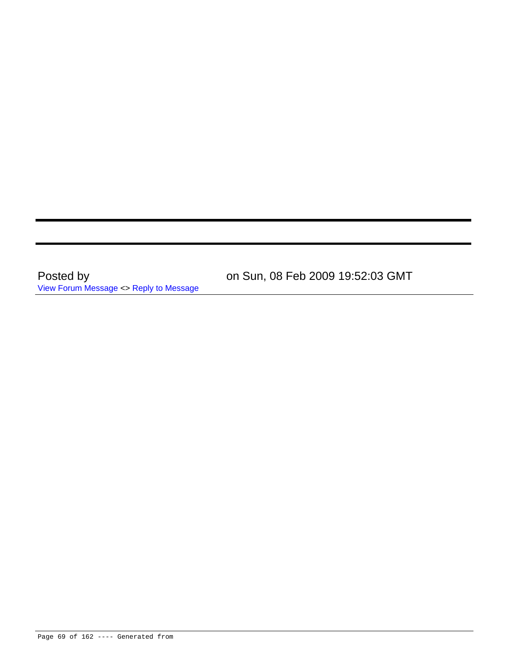| Posted by                              |  |
|----------------------------------------|--|
| View Forum Message <> Reply to Message |  |

on Sun, 08 Feb 2009 19:52:03 GMT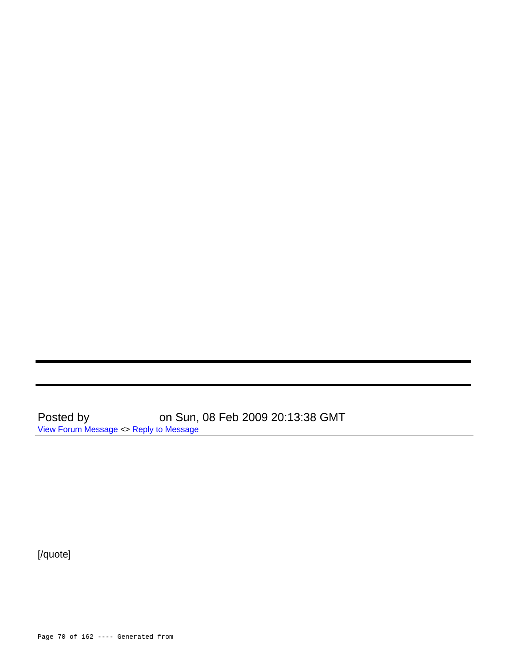on Sun, 08 Feb 2009 20:13:38 GMT Posted by on Sun,<br>[View Forum Message](http://www.pravoverie.ru/index.php?t=rview&th=4911&goto=180696#msg_180696) <> [Reply to Message](http://www.pravoverie.ru/index.php?t=post&reply_to=180696)

[/quote]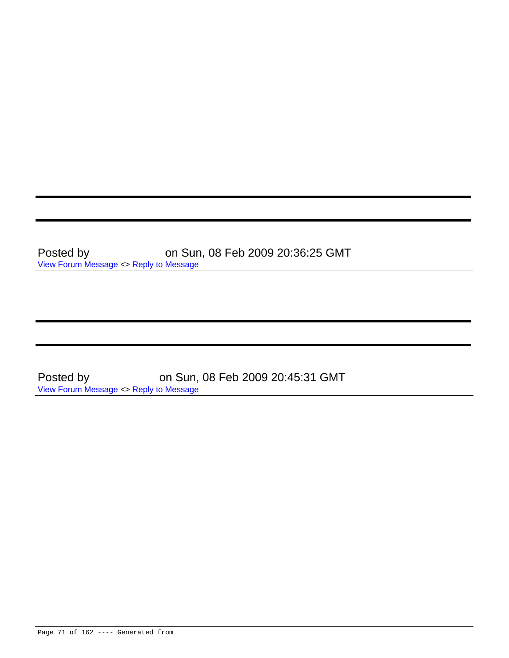## Posted by on Sun, 08 Feb 2009 20:36:25 GMT [View Forum Message](http://www.pravoverie.ru/index.php?t=rview&th=4911&goto=180710#msg_180710) <> [Reply to Message](http://www.pravoverie.ru/index.php?t=post&reply_to=180710)

Posted by on Sun, 08 Feb 2009 20:45:31 GMT [View Forum Message](http://www.pravoverie.ru/index.php?t=rview&th=4911&goto=180715#msg_180715) <> [Reply to Message](http://www.pravoverie.ru/index.php?t=post&reply_to=180715)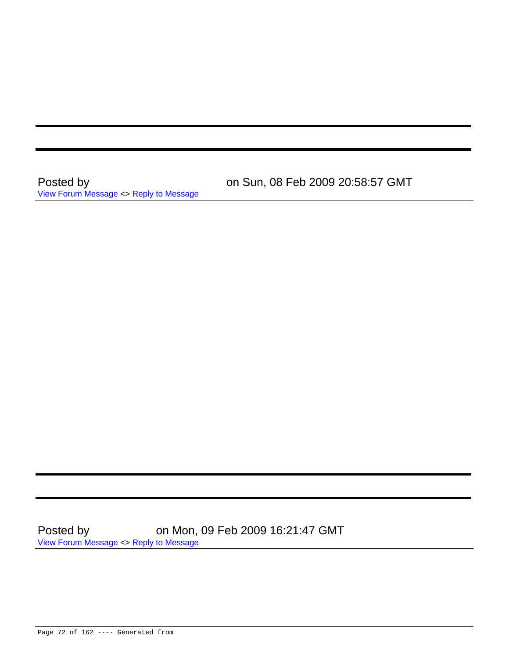Posted by<br>[View Forum Message](http://www.pravoverie.ru/index.php?t=rview&th=4911&goto=180720#msg_180720) <> [Reply to Message](http://www.pravoverie.ru/index.php?t=post&reply_to=180720)

on Sun, 08 Feb 2009 20:58:57 GMT

Posted by on Mon, 09 Feb 2009 16:21:47 GMT [View Forum Message](http://www.pravoverie.ru/index.php?t=rview&th=4911&goto=181220#msg_181220) <> [Reply to Message](http://www.pravoverie.ru/index.php?t=post&reply_to=181220)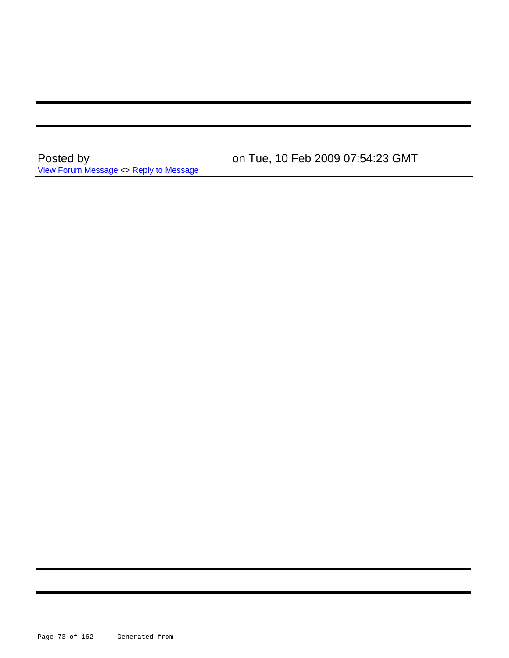| Posted by                              |  |  |  |
|----------------------------------------|--|--|--|
| View Forum Message <> Reply to Message |  |  |  |

on Tue, 10 Feb 2009 07:54:23 GMT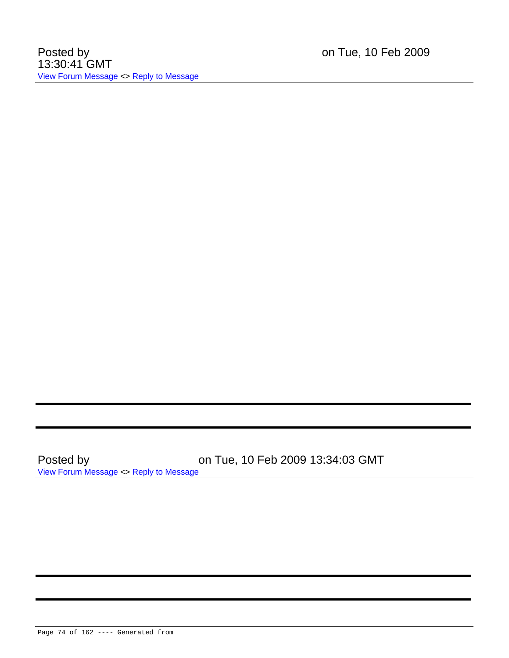Posted by **Discrep 2001 Tue, 10 Feb 2009 13:34:03 GMT** [View Forum Message](http://www.pravoverie.ru/index.php?t=rview&th=4911&goto=181588#msg_181588) <> [Reply to Message](http://www.pravoverie.ru/index.php?t=post&reply_to=181588)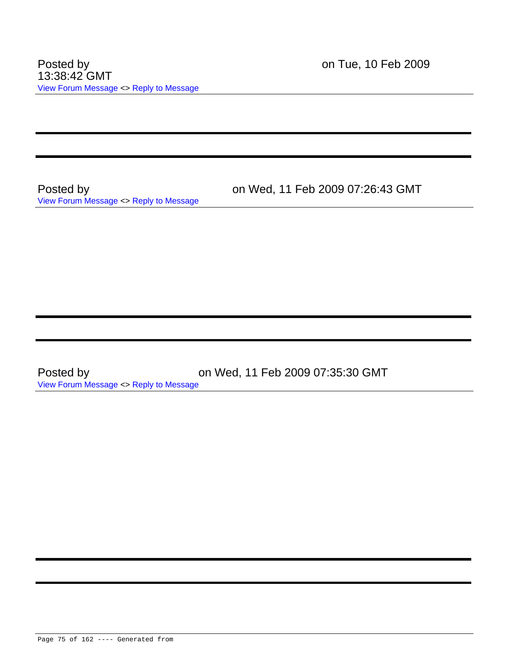[View Forum Message](http://www.pravoverie.ru/index.php?t=rview&th=4911&goto=181739#msg_181739) <> [Reply to Message](http://www.pravoverie.ru/index.php?t=post&reply_to=181739)

Posted by **Discrete Posted by CONTER 2009 07:26:43 GMT** 

Posted by on Wed, 11 Feb 2009 07:35:30 GMT [View Forum Message](http://www.pravoverie.ru/index.php?t=rview&th=4911&goto=181748#msg_181748) <> [Reply to Message](http://www.pravoverie.ru/index.php?t=post&reply_to=181748)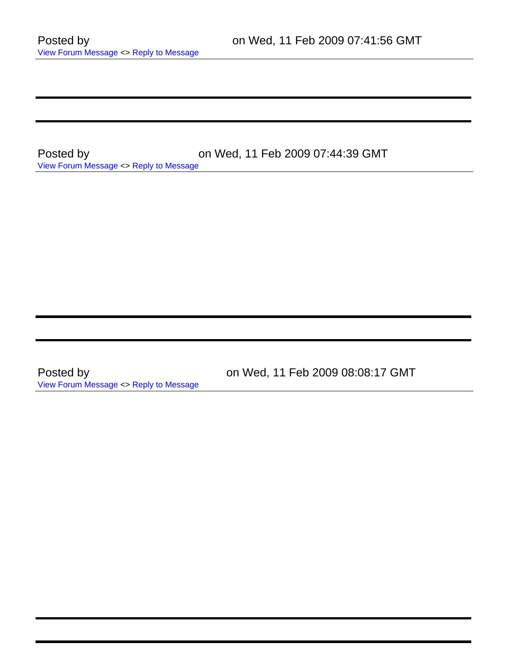on Wed, 11 Feb 2009 07:44:39 GMT [View Forum Message](http://www.pravoverie.ru/index.php?t=rview&th=4911&goto=181755#msg_181755) <> [Reply to Message](http://www.pravoverie.ru/index.php?t=post&reply_to=181755)

[View Forum Message](http://www.pravoverie.ru/index.php?t=rview&th=4911&goto=181768#msg_181768) <> [Reply to Message](http://www.pravoverie.ru/index.php?t=post&reply_to=181768)

Posted by **Department COV** on Wed, 11 Feb 2009 08:08:17 GMT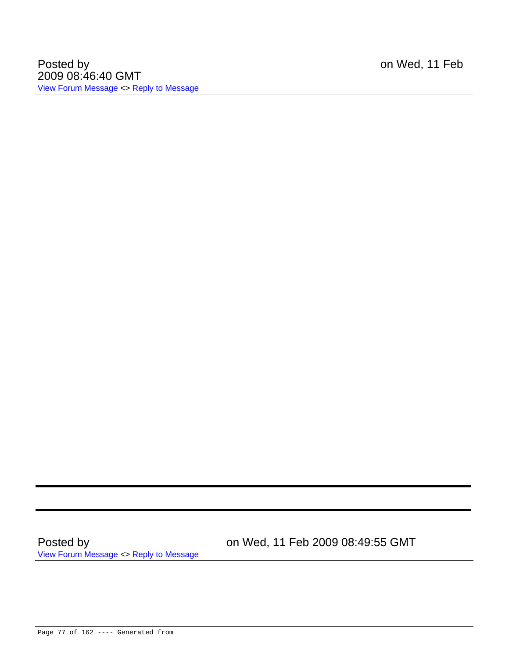[View Forum Message](http://www.pravoverie.ru/index.php?t=rview&th=4911&goto=181781#msg_181781) <> [Reply to Message](http://www.pravoverie.ru/index.php?t=post&reply_to=181781)

Posted by **Discrete Posted by CONT** 60 Med, 11 Feb 2009 08:49:55 GMT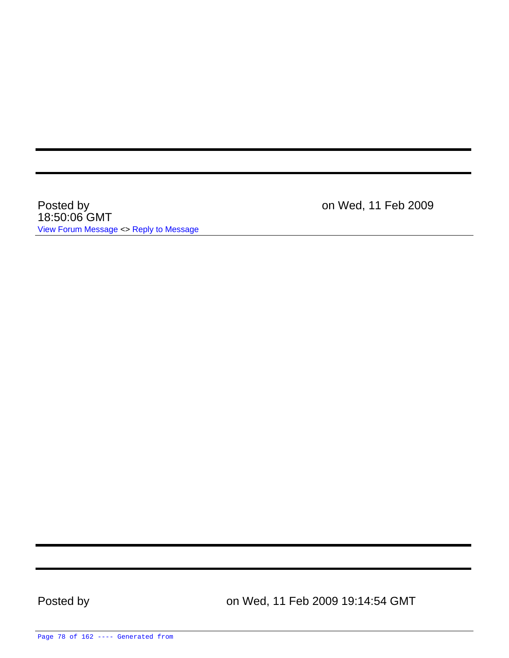Posted by<br>18:50:06 GMT [View Forum Message](http://www.pravoverie.ru/index.php?t=rview&th=4911&goto=182031#msg_182031) <> [Reply to Message](http://www.pravoverie.ru/index.php?t=post&reply_to=182031)

on Wed, 11 Feb 2009

Posted by **Discrete Posted by CONTER 2009 19:14:54 GMT**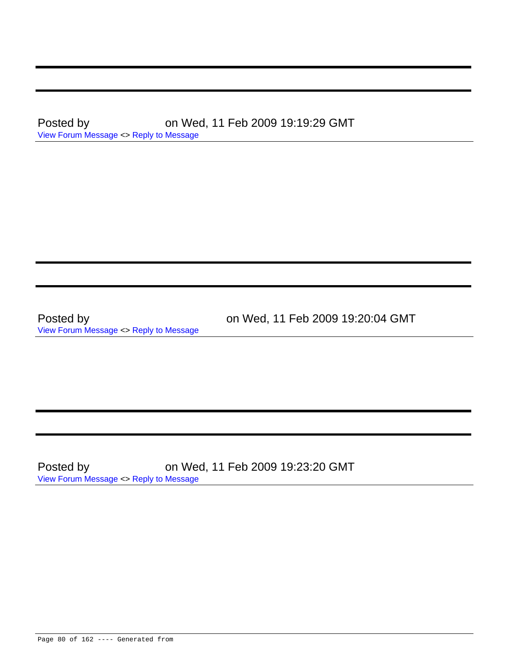| Posted by                              | on Wed, 11 Feb 2009 19:19:29 GMT |  |
|----------------------------------------|----------------------------------|--|
| View Forum Message <> Reply to Message |                                  |  |

Posted by **Department Controller Concrete Controller** on Wed, 11 Feb 2009 19:20:04 GMT [View Forum Message](http://www.pravoverie.ru/index.php?t=rview&th=4911&goto=182037#msg_182037) <> [Reply to Message](http://www.pravoverie.ru/index.php?t=post&reply_to=182037)

Posted by on Wed, 11 Feb 2009 19:23:20 GMT [View Forum Message](http://www.pravoverie.ru/index.php?t=rview&th=4911&goto=182039#msg_182039) <> [Reply to Message](http://www.pravoverie.ru/index.php?t=post&reply_to=182039)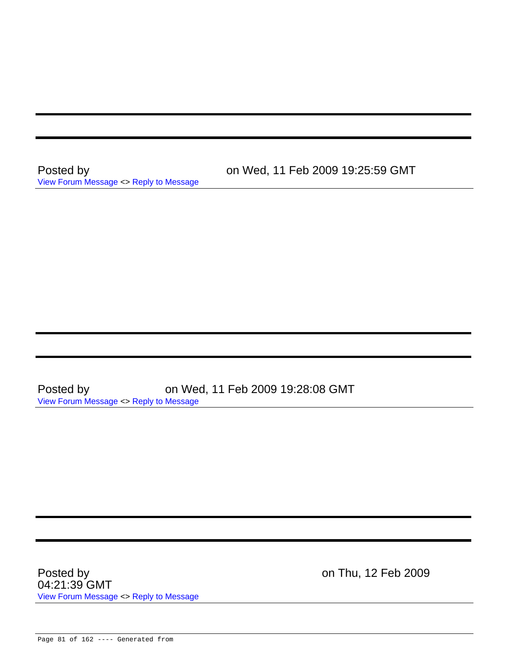[View Forum Message](http://www.pravoverie.ru/index.php?t=rview&th=4911&goto=182040#msg_182040) <> [Reply to Message](http://www.pravoverie.ru/index.php?t=post&reply_to=182040)

Posted by **Department Connect 2009 19:25:59 GMT** 

Posted by on Wed, 11 Feb 2009 19:28:08 GMT [View Forum Message](http://www.pravoverie.ru/index.php?t=rview&th=4911&goto=182041#msg_182041) <> [Reply to Message](http://www.pravoverie.ru/index.php?t=post&reply_to=182041)

Posted by<br>04:21:39 GMT [View Forum Message](http://www.pravoverie.ru/index.php?t=rview&th=4911&goto=182058#msg_182058) <> [Reply to Message](http://www.pravoverie.ru/index.php?t=post&reply_to=182058) on Thu, 12 Feb 2009

Page 81 of 162 ---- Generated from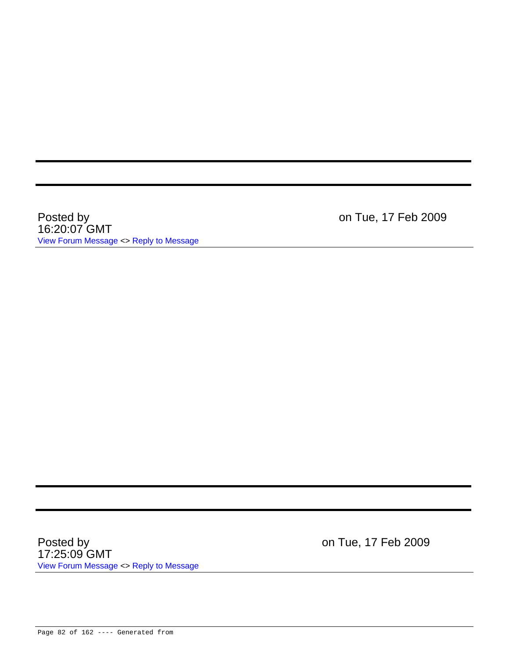Posted by<br>16:20:07 GMT [View Forum Message](http://www.pravoverie.ru/index.php?t=rview&th=4911&goto=183390#msg_183390) <> [Reply to Message](http://www.pravoverie.ru/index.php?t=post&reply_to=183390) on Tue, 17 Feb 2009

Posted by<br>17:25:09 GMT [View Forum Message](http://www.pravoverie.ru/index.php?t=rview&th=4911&goto=183397#msg_183397) <> [Reply to Message](http://www.pravoverie.ru/index.php?t=post&reply_to=183397) on Tue, 17 Feb 2009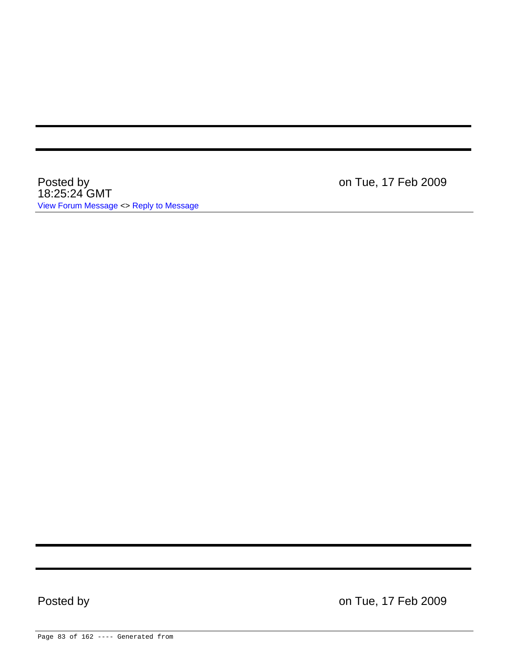Posted by<br>18:25:24 GMT [View Forum Message](http://www.pravoverie.ru/index.php?t=rview&th=4911&goto=183408#msg_183408) <> [Reply to Message](http://www.pravoverie.ru/index.php?t=post&reply_to=183408) on Tue, 17 Feb 2009

Posted by **Posted by Posted by Posted by on Tue, 17 Feb 2009**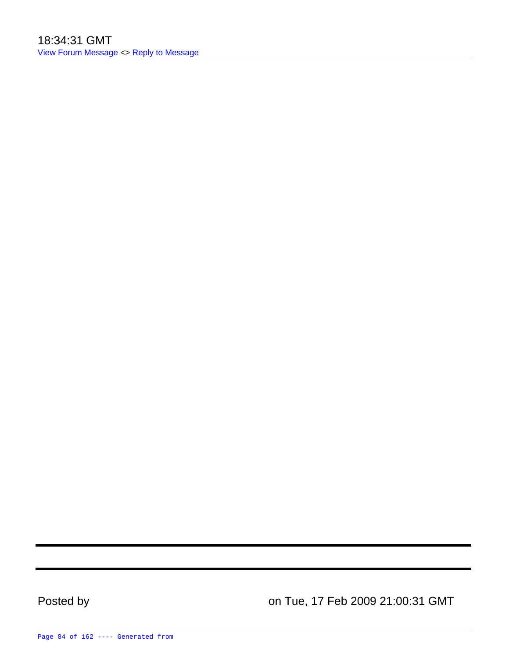Posted by **Posted by on Tue, 17 Feb 2009 21:00:31 GMT** 

Page 84 of 162 ---- Generated from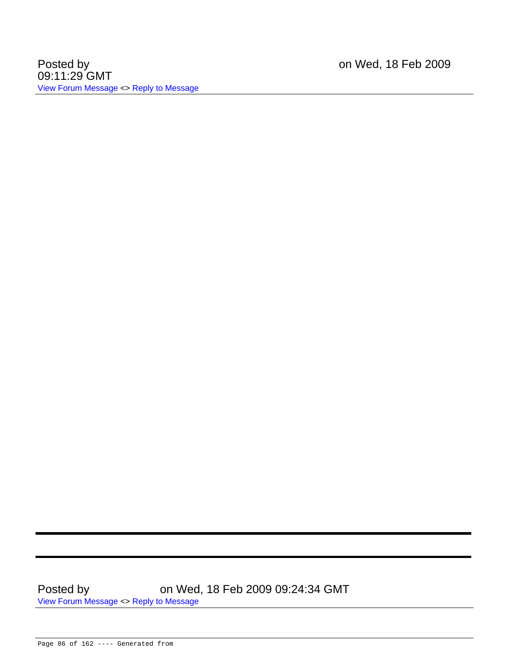Posted by on Wed, 18 Feb 2009 09:24:34 GMT [View Forum Message](http://www.pravoverie.ru/index.php?t=rview&th=4911&goto=183476#msg_183476) <> [Reply to Message](http://www.pravoverie.ru/index.php?t=post&reply_to=183476)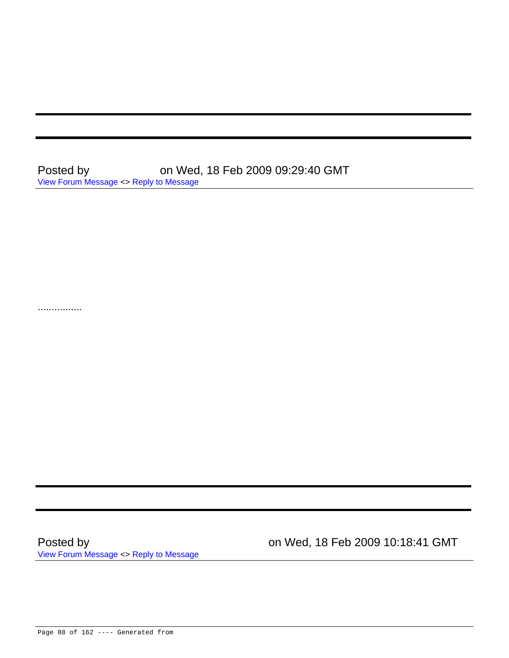Posted by on Wed, 18 Feb 2009 09:29:40 GMT [View Forum Message](http://www.pravoverie.ru/index.php?t=rview&th=4911&goto=183477#msg_183477) <> [Reply to Message](http://www.pravoverie.ru/index.php?t=post&reply_to=183477)

................

[View Forum Message](http://www.pravoverie.ru/index.php?t=rview&th=4911&goto=183481#msg_183481) <> [Reply to Message](http://www.pravoverie.ru/index.php?t=post&reply_to=183481)

Posted by on Wed, 18 Feb 2009 10:18:41 GMT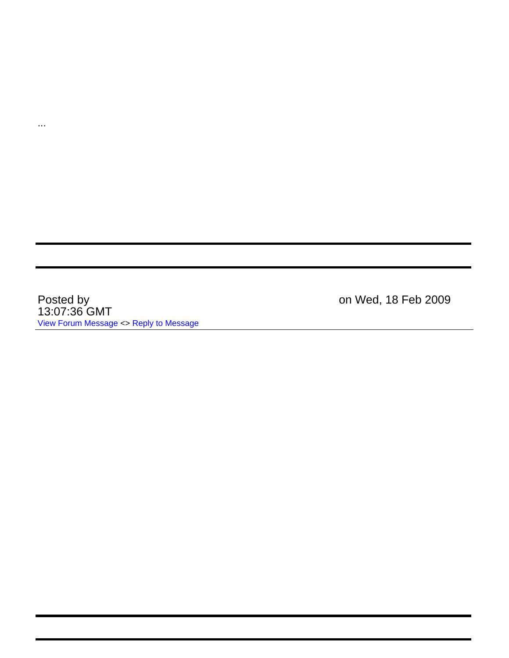Posted by<br>13:07:36 GMT [View Forum Message](http://www.pravoverie.ru/index.php?t=rview&th=4911&goto=183514#msg_183514) <> [Reply to Message](http://www.pravoverie.ru/index.php?t=post&reply_to=183514)

...

on Wed, 18 Feb 2009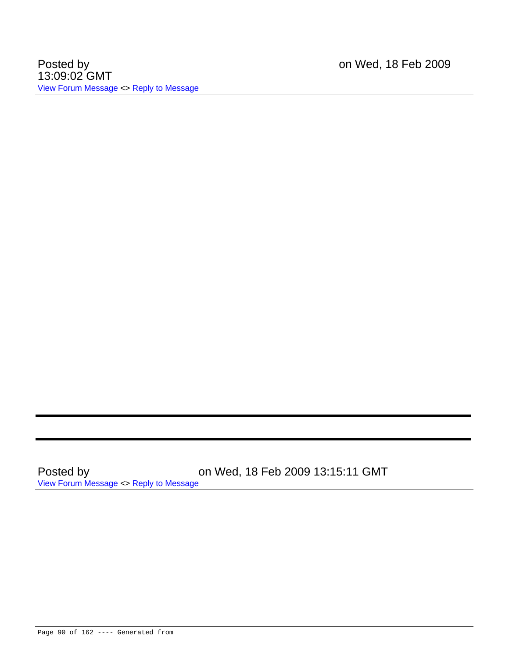Posted by on Wed, 18 Feb 2009 13:15:11 GMT [View Forum Message](http://www.pravoverie.ru/index.php?t=rview&th=4911&goto=183517#msg_183517) <> [Reply to Message](http://www.pravoverie.ru/index.php?t=post&reply_to=183517)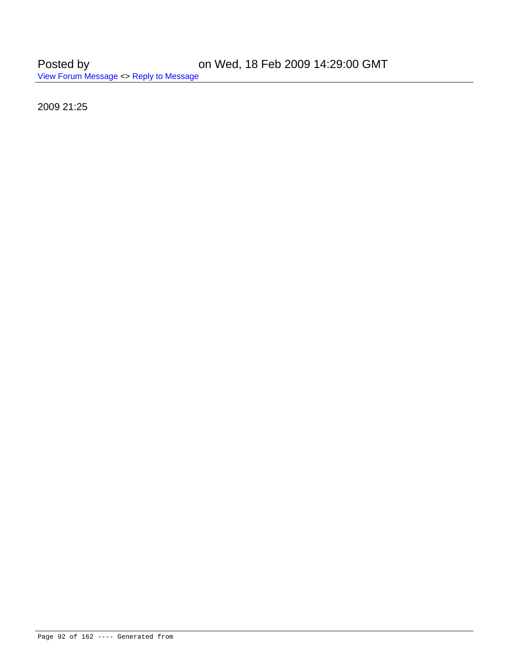2009 21:25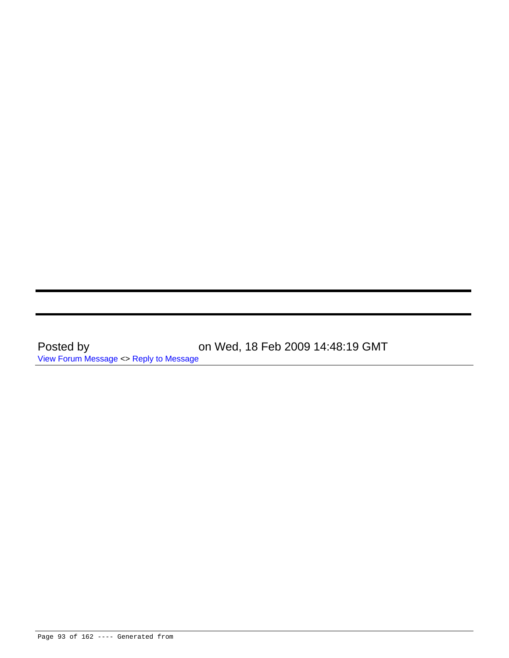on Wed, 18 Feb 2009 14:48:19 GMT Posted by<br>[View Forum Message](http://www.pravoverie.ru/index.php?t=rview&th=4911&goto=183534#msg_183534) <> [Reply to Message](http://www.pravoverie.ru/index.php?t=post&reply_to=183534)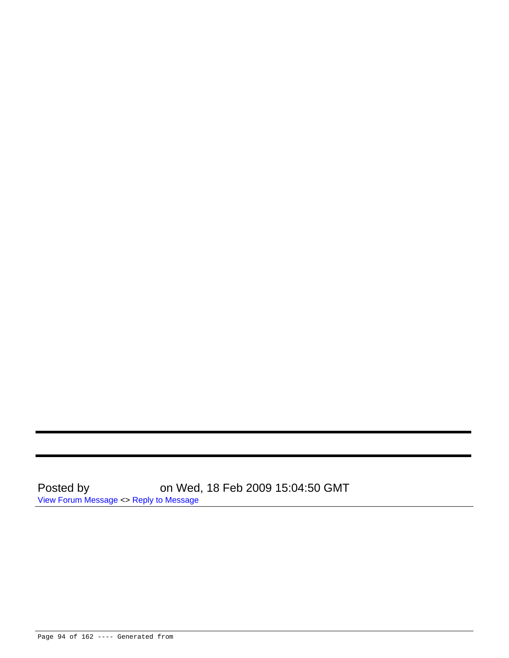Posted by on Wed, 18 Feb 2009 15:04:50 GMT [View Forum Message](http://www.pravoverie.ru/index.php?t=rview&th=4911&goto=183538#msg_183538) <> [Reply to Message](http://www.pravoverie.ru/index.php?t=post&reply_to=183538)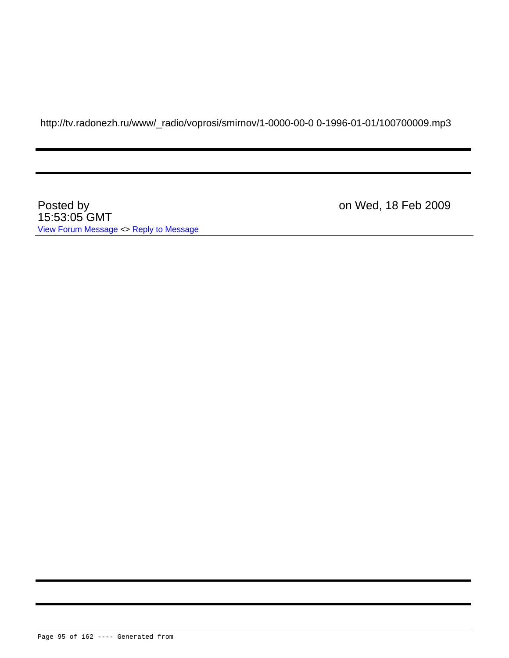http://tv.radonezh.ru/www/\_radio/voprosi/smirnov/1-0000-00-0 0-1996-01-01/100700009.mp3

Posted by<br>15:53:05 GMT [View Forum Message](http://www.pravoverie.ru/index.php?t=rview&th=4911&goto=183545#msg_183545) <> [Reply to Message](http://www.pravoverie.ru/index.php?t=post&reply_to=183545)

on Wed, 18 Feb 2009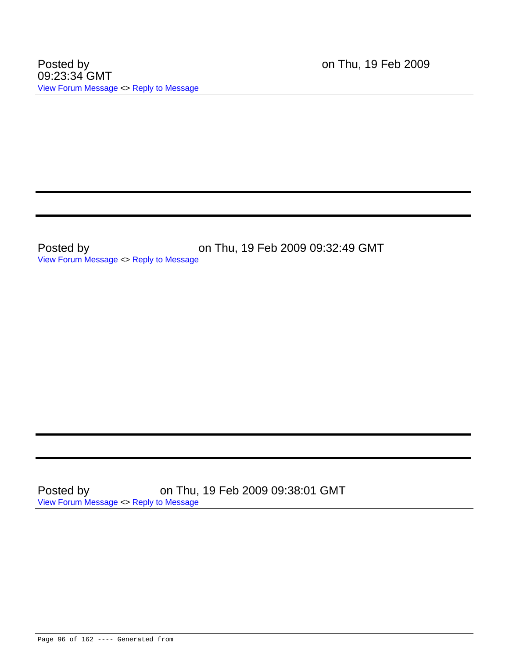Posted by **Disk and Thu, 19 Feb 2009 09:32:49 GMT** [View Forum Message](http://www.pravoverie.ru/index.php?t=rview&th=4911&goto=183636#msg_183636) <> [Reply to Message](http://www.pravoverie.ru/index.php?t=post&reply_to=183636)

Posted by on Thu, 19 Feb 2009 09:38:01 GMT [View Forum Message](http://www.pravoverie.ru/index.php?t=rview&th=4911&goto=183641#msg_183641) <> [Reply to Message](http://www.pravoverie.ru/index.php?t=post&reply_to=183641)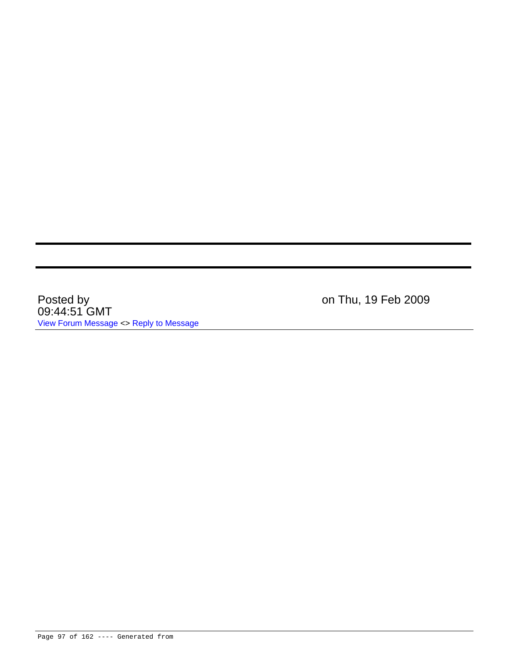Posted by<br>09:44:51 GMT [View Forum Message](http://www.pravoverie.ru/index.php?t=rview&th=4911&goto=183644#msg_183644) <> [Reply to Message](http://www.pravoverie.ru/index.php?t=post&reply_to=183644)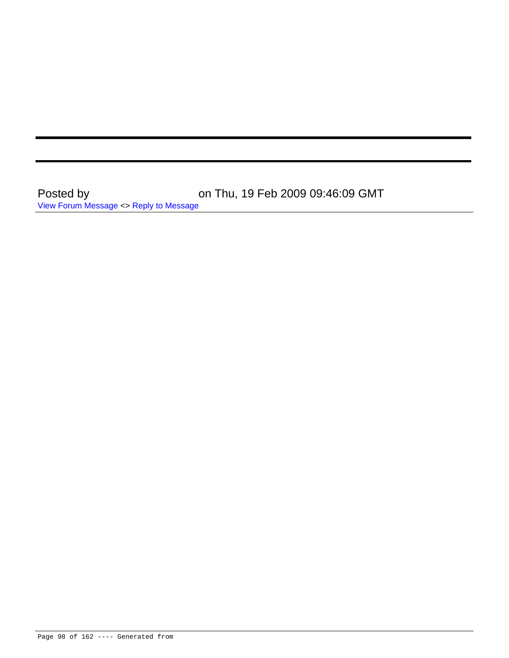on Thu, 19 Feb 2009 09:46:09 GMT Posted by<br>[View Forum Message](http://www.pravoverie.ru/index.php?t=rview&th=4911&goto=183645#msg_183645) <> [Reply to Message](http://www.pravoverie.ru/index.php?t=post&reply_to=183645)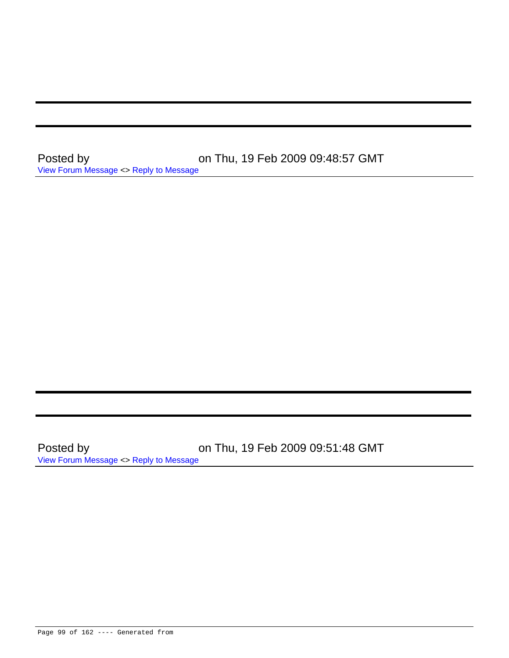| Posted by                              |  | on Thu, 19 Feb 2009 09:48:57 GMT |  |
|----------------------------------------|--|----------------------------------|--|
| View Forum Message <> Reply to Message |  |                                  |  |

on Thu, 19 Feb 2009 09:51:48 GMT Posted by<br>[View Forum Message](http://www.pravoverie.ru/index.php?t=rview&th=4911&goto=183649#msg_183649) <> [Reply to Message](http://www.pravoverie.ru/index.php?t=post&reply_to=183649)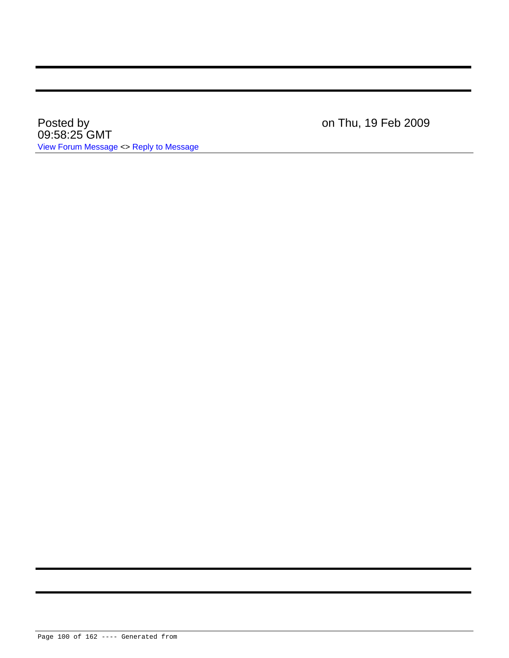Posted by<br>09:58:25 GMT [View Forum Message](http://www.pravoverie.ru/index.php?t=rview&th=4911&goto=183650#msg_183650) <> [Reply to Message](http://www.pravoverie.ru/index.php?t=post&reply_to=183650)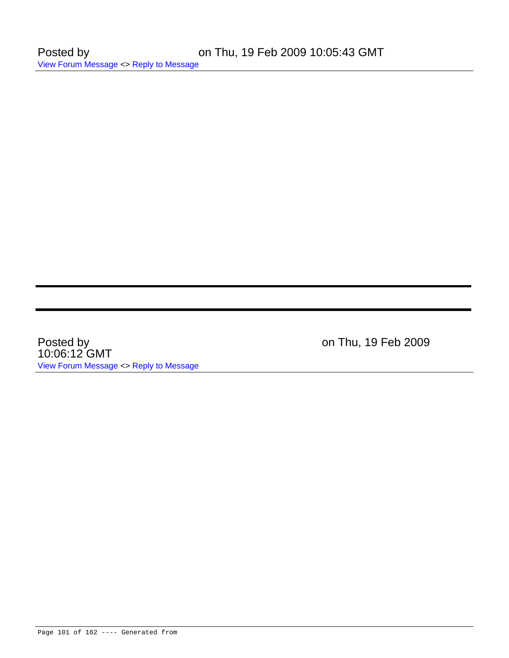Posted by<br>10:06:12 GMT [View Forum Message](http://www.pravoverie.ru/index.php?t=rview&th=4911&goto=183654#msg_183654) <> [Reply to Message](http://www.pravoverie.ru/index.php?t=post&reply_to=183654)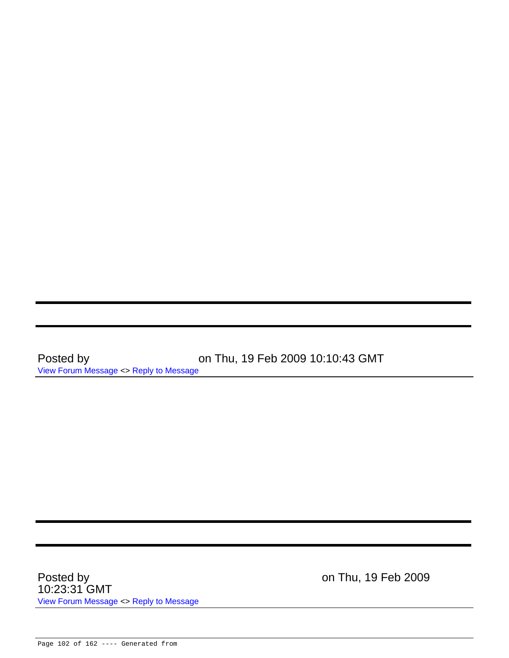Posted by on Thu, 19 Feb 2009 10:10:43 GMT [View Forum Message](http://www.pravoverie.ru/index.php?t=rview&th=4911&goto=183661#msg_183661) <> [Reply to Message](http://www.pravoverie.ru/index.php?t=post&reply_to=183661)

Posted by<br>10:23:31 GMT [View Forum Message](http://www.pravoverie.ru/index.php?t=rview&th=4911&goto=183666#msg_183666) <> [Reply to Message](http://www.pravoverie.ru/index.php?t=post&reply_to=183666)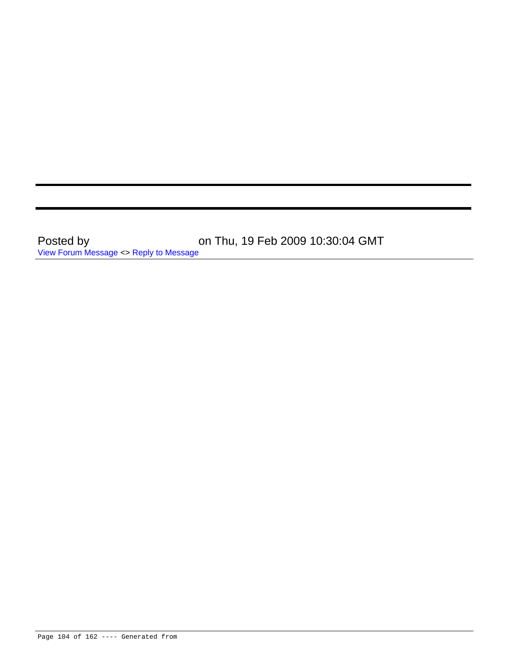on Thu, 19 Feb 2009 10:30:04 GMT Posted by<br>[View Forum Message](http://www.pravoverie.ru/index.php?t=rview&th=4911&goto=183668#msg_183668) <> [Reply to Message](http://www.pravoverie.ru/index.php?t=post&reply_to=183668)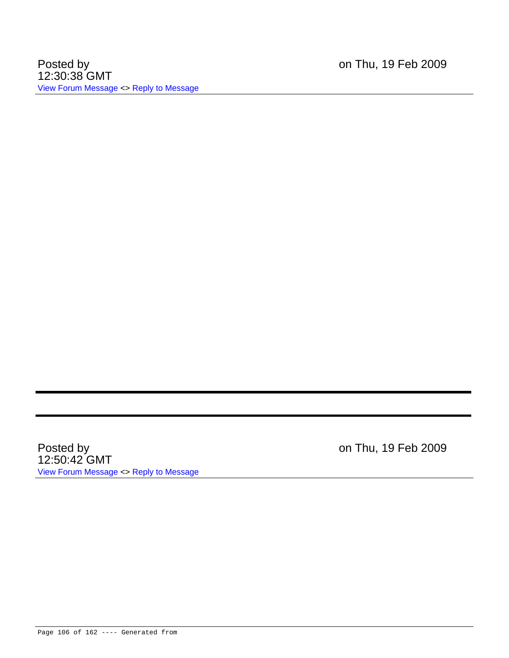Posted by<br>12:50:42 GMT [View Forum Message](http://www.pravoverie.ru/index.php?t=rview&th=4911&goto=183693#msg_183693) <> [Reply to Message](http://www.pravoverie.ru/index.php?t=post&reply_to=183693)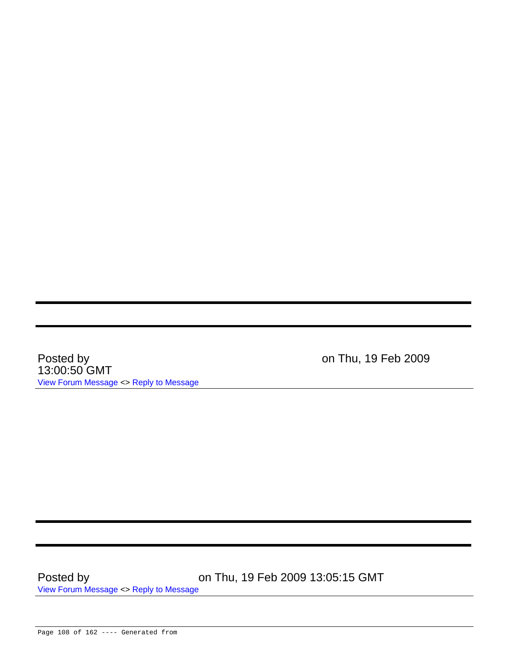Posted by **Posted by Posted by Posted by on Thu, 19 Feb 2009** 13:00:50 GMT [View Forum Message](http://www.pravoverie.ru/index.php?t=rview&th=4911&goto=183697#msg_183697) <> [Reply to Message](http://www.pravoverie.ru/index.php?t=post&reply_to=183697)

## Posted by on Thu, 19 Feb 2009 13:05:15 GMT

[View Forum Message](http://www.pravoverie.ru/index.php?t=rview&th=4911&goto=183699#msg_183699) <> [Reply to Message](http://www.pravoverie.ru/index.php?t=post&reply_to=183699)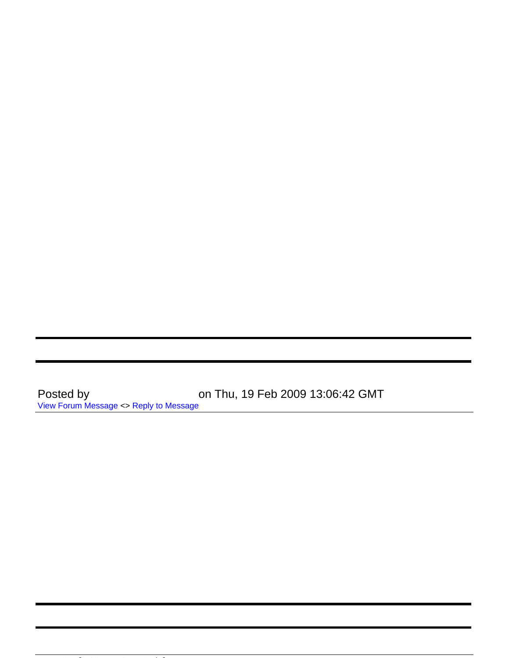on Thu, 19 Feb 2009 13:06:42 GMT [View Forum Message](http://www.pravoverie.ru/index.php?t=rview&th=4911&goto=183700#msg_183700) <> [Reply to Message](http://www.pravoverie.ru/index.php?t=post&reply_to=183700)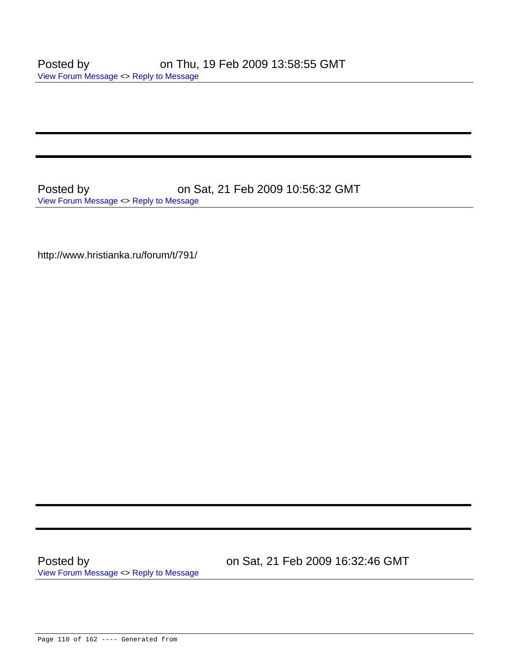Posted by on Sat, 21 Feb 2009 10:56:32 GMT [View Forum Message](http://www.pravoverie.ru/index.php?t=rview&th=4911&goto=183980#msg_183980) <> [Reply to Message](http://www.pravoverie.ru/index.php?t=post&reply_to=183980)

http://www.hristianka.ru/forum/t/791/

[View Forum Message](http://www.pravoverie.ru/index.php?t=rview&th=4911&goto=184030#msg_184030) <> [Reply to Message](http://www.pravoverie.ru/index.php?t=post&reply_to=184030)

Posted by on Sat, 21 Feb 2009 16:32:46 GMT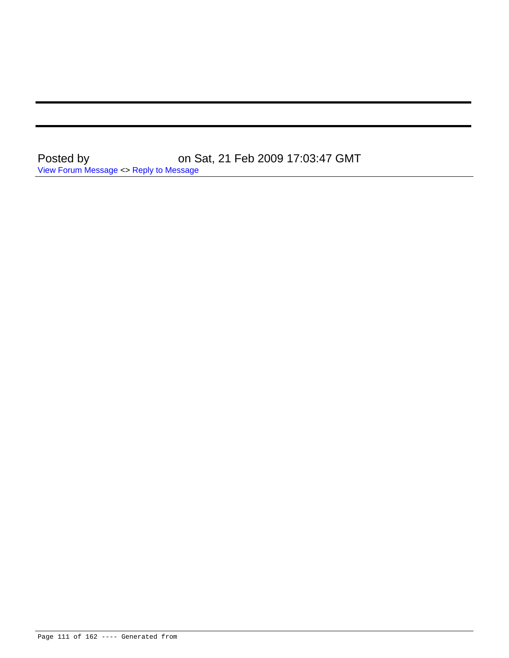on Sat, 21 Feb 2009 17:03:47 GMT Posted by on S<br>[View Forum Message](http://www.pravoverie.ru/index.php?t=rview&th=4911&goto=184034#msg_184034) <> [Reply to Message](http://www.pravoverie.ru/index.php?t=post&reply_to=184034)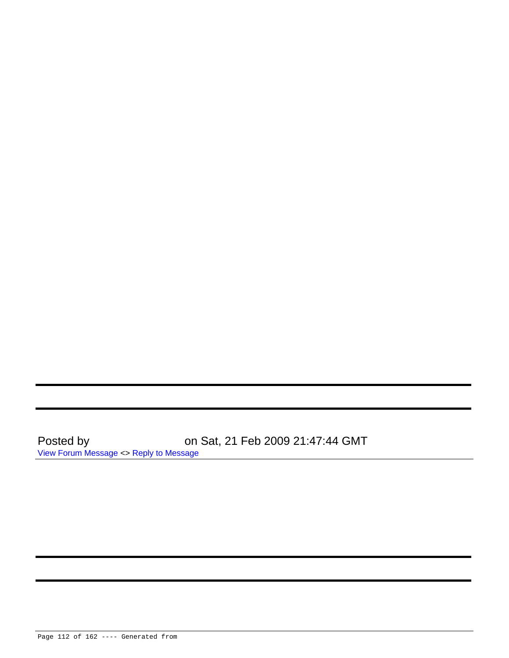Posted by on Sat, 21 Feb 2009 21:47:44 GMT [View Forum Message](http://www.pravoverie.ru/index.php?t=rview&th=4911&goto=184060#msg_184060) <> [Reply to Message](http://www.pravoverie.ru/index.php?t=post&reply_to=184060)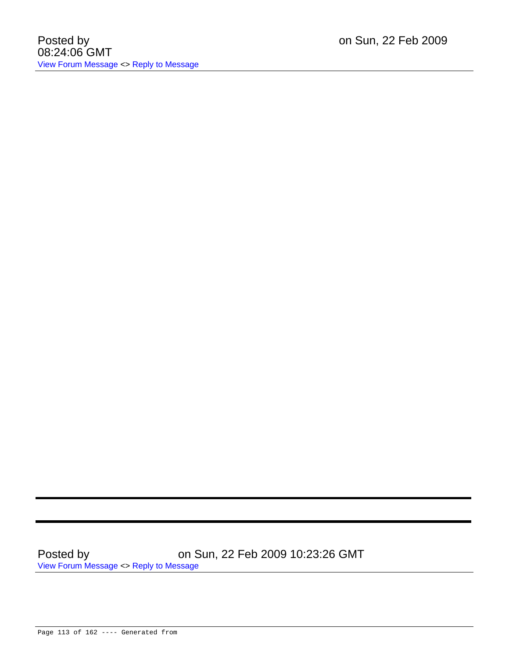Posted by on Sun, 22 Feb 2009 10:23:26 GMT [View Forum Message](http://www.pravoverie.ru/index.php?t=rview&th=4911&goto=184088#msg_184088) <> [Reply to Message](http://www.pravoverie.ru/index.php?t=post&reply_to=184088)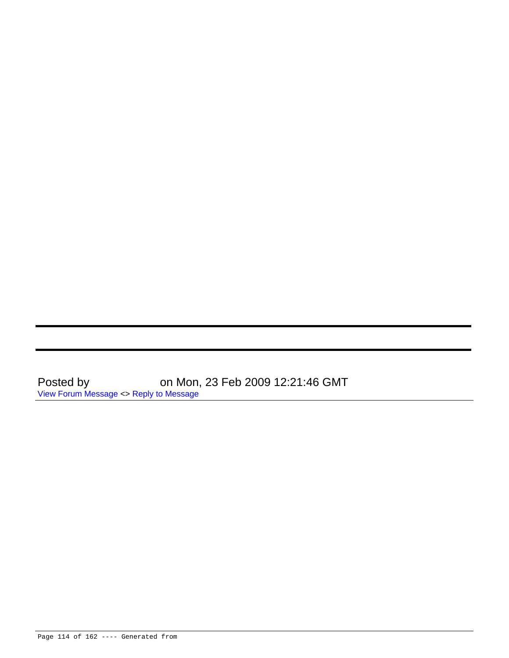Posted by on Mon, 23 Feb 2009 12:21:46 GMT [View Forum Message](http://www.pravoverie.ru/index.php?t=rview&th=4911&goto=184269#msg_184269) <> [Reply to Message](http://www.pravoverie.ru/index.php?t=post&reply_to=184269)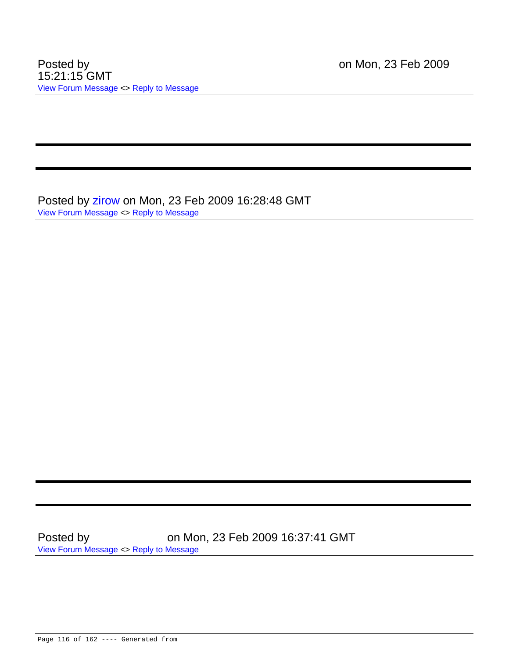Posted by [zirow](http://www.pravoverie.ru/index.php?t=usrinfo&id=3250) on Mon, 23 Feb 2009 16:28:48 GMT [View Forum Message](http://www.pravoverie.ru/index.php?t=rview&th=4911&goto=184314#msg_184314) <> [Reply to Message](http://www.pravoverie.ru/index.php?t=post&reply_to=184314)

Posted by on Mon, 23 Feb 2009 16:37:41 GMT [View Forum Message](http://www.pravoverie.ru/index.php?t=rview&th=4911&goto=184317#msg_184317) <> [Reply to Message](http://www.pravoverie.ru/index.php?t=post&reply_to=184317)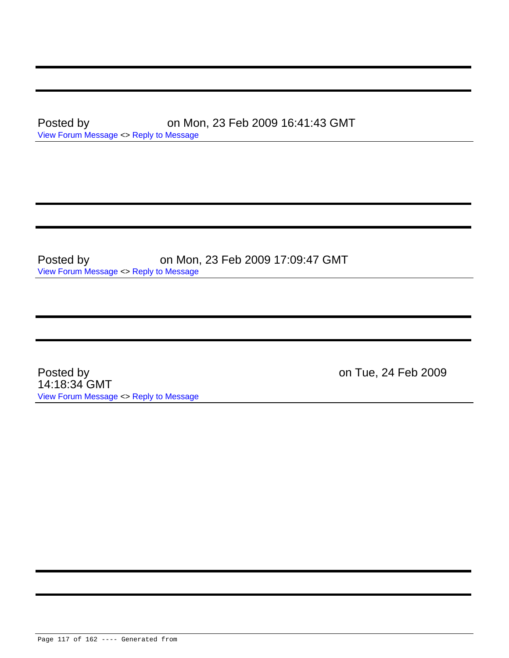Posted by on Mon, 23 Feb 2009 16:41:43 GMT [View Forum Message](http://www.pravoverie.ru/index.php?t=rview&th=4911&goto=184318#msg_184318) <> [Reply to Message](http://www.pravoverie.ru/index.php?t=post&reply_to=184318)

Posted by on Mon, 23 Feb 2009 17:09:47 GMT [View Forum Message](http://www.pravoverie.ru/index.php?t=rview&th=4911&goto=184322#msg_184322) <> [Reply to Message](http://www.pravoverie.ru/index.php?t=post&reply_to=184322)

Posted by<br>14:18:34 GMT [View Forum Message](http://www.pravoverie.ru/index.php?t=rview&th=4911&goto=184467#msg_184467) <> [Reply to Message](http://www.pravoverie.ru/index.php?t=post&reply_to=184467) on Tue, 24 Feb 2009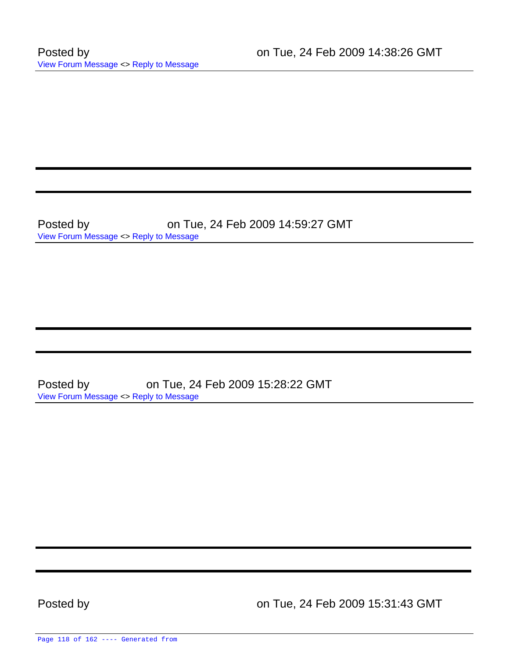on Tue, 24 Feb 2009 14:59:27 GMT Posted by on Tue<br>[View Forum Message](http://www.pravoverie.ru/index.php?t=rview&th=4911&goto=184488#msg_184488) <> [Reply to Message](http://www.pravoverie.ru/index.php?t=post&reply_to=184488)

Posted by on Tue, 24 Feb 2009 15:28:22 GMT [View Forum Message](http://www.pravoverie.ru/index.php?t=rview&th=4911&goto=184493#msg_184493) <> [Reply to Message](http://www.pravoverie.ru/index.php?t=post&reply_to=184493)

Posted by **Posted by on Tue, 24 Feb 2009 15:31:43 GMT**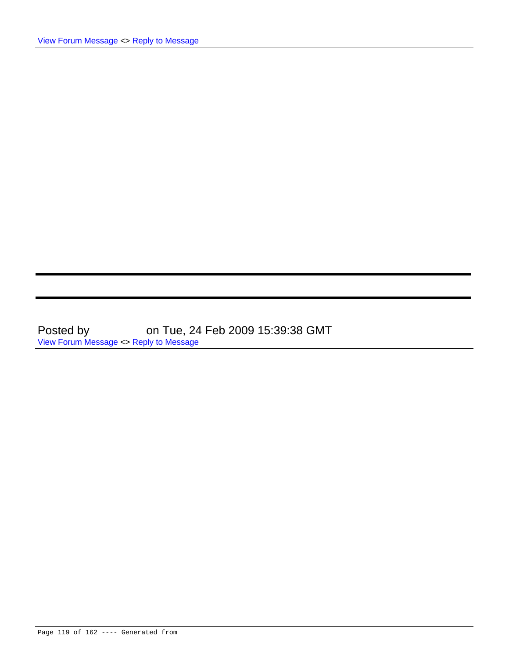Posted by on Tue, 24 Feb 2009 15:39:38 GMT [View Forum Message](http://www.pravoverie.ru/index.php?t=rview&th=4911&goto=184499#msg_184499) <> [Reply to Message](http://www.pravoverie.ru/index.php?t=post&reply_to=184499)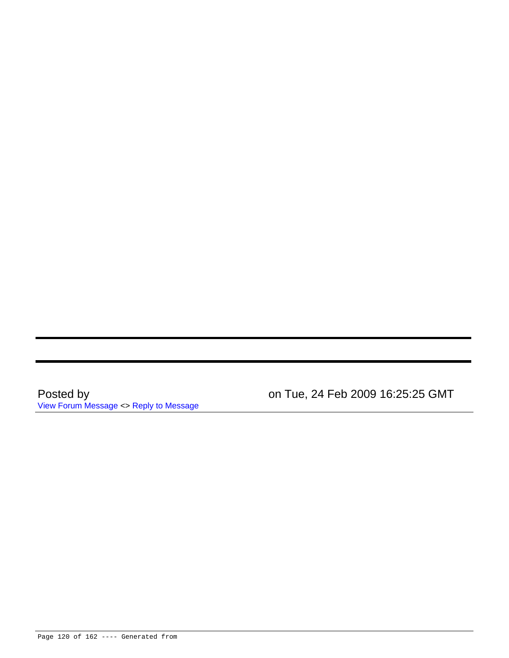Posted by **Posted by on Tue, 24 Feb 2009 16:25:25 GMT**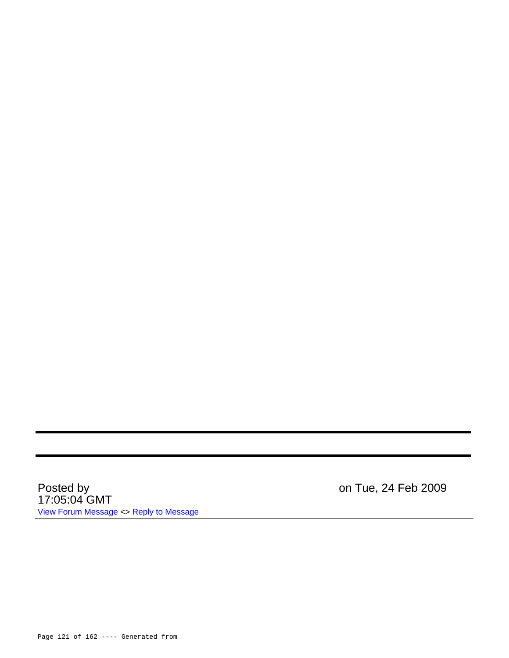on Tue, 24 Feb 2009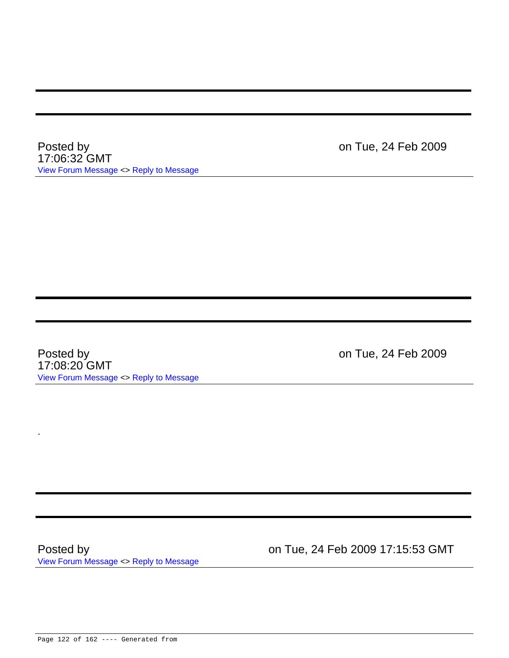.

17:08:20 GMT [View Forum Message](http://www.pravoverie.ru/index.php?t=rview&th=4911&goto=184511#msg_184511) <> [Reply to Message](http://www.pravoverie.ru/index.php?t=post&reply_to=184511)

Posted by **Posted by Posted by Posted by on Tue, 24 Feb 2009** 

Posted by<br>[View Forum Message](http://www.pravoverie.ru/index.php?t=rview&th=4911&goto=184513#msg_184513) <> [Reply to Message](http://www.pravoverie.ru/index.php?t=post&reply_to=184513)

on Tue, 24 Feb 2009 17:15:53 GMT

Posted by<br>17:06:32 GMT

[View Forum Message](http://www.pravoverie.ru/index.php?t=rview&th=4911&goto=184509#msg_184509) <> [Reply to Message](http://www.pravoverie.ru/index.php?t=post&reply_to=184509)

on Tue, 24 Feb 2009

Page 122 of 162 ---- Generated from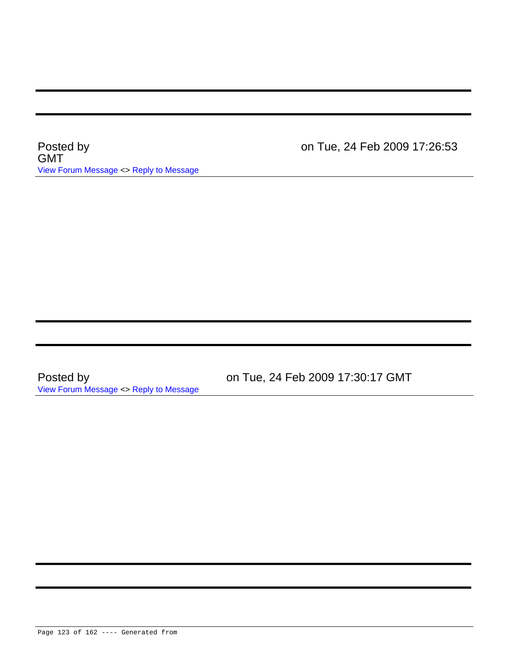Posted by<br>GMT [View Forum Message](http://www.pravoverie.ru/index.php?t=rview&th=4911&goto=184515#msg_184515) <> [Reply to Message](http://www.pravoverie.ru/index.php?t=post&reply_to=184515) on Tue, 24 Feb 2009 17:26:53

[View Forum Message](http://www.pravoverie.ru/index.php?t=rview&th=4911&goto=184516#msg_184516) <> [Reply to Message](http://www.pravoverie.ru/index.php?t=post&reply_to=184516)

Posted by on Tue, 24 Feb 2009 17:30:17 GMT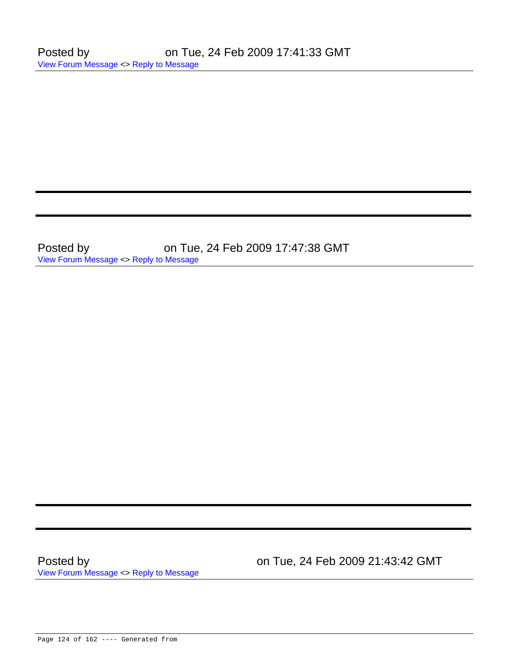Posted by on Tue, 24 Feb 2009 17:47:38 GMT [View Forum Message](http://www.pravoverie.ru/index.php?t=rview&th=4911&goto=184519#msg_184519) <> [Reply to Message](http://www.pravoverie.ru/index.php?t=post&reply_to=184519)

[View Forum Message](http://www.pravoverie.ru/index.php?t=rview&th=4911&goto=184566#msg_184566) <> [Reply to Message](http://www.pravoverie.ru/index.php?t=post&reply_to=184566)

Posted by on Tue, 24 Feb 2009 21:43:42 GMT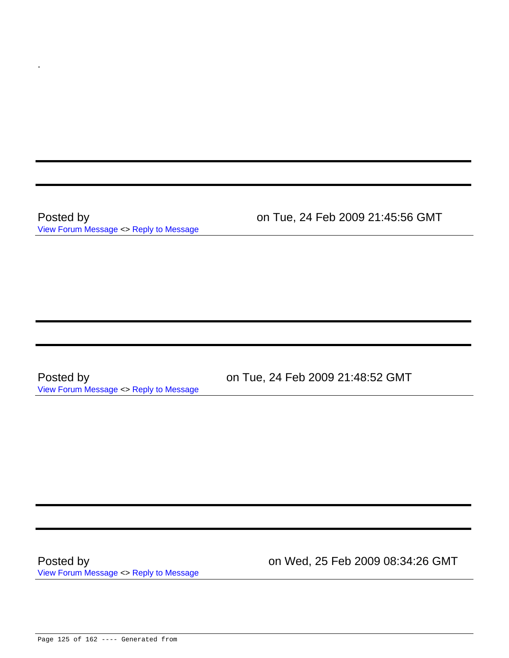.

Posted by on Tue, 24 Feb 2009 21:45:56 GMT

[View Forum Message](http://www.pravoverie.ru/index.php?t=rview&th=4911&goto=184570#msg_184570) <> [Reply to Message](http://www.pravoverie.ru/index.php?t=post&reply_to=184570)

Posted by on Tue, 24 Feb 2009 21:48:52 GMT

[View Forum Message](http://www.pravoverie.ru/index.php?t=rview&th=4911&goto=184643#msg_184643) <> [Reply to Message](http://www.pravoverie.ru/index.php?t=post&reply_to=184643)

Posted by on Wed, 25 Feb 2009 08:34:26 GMT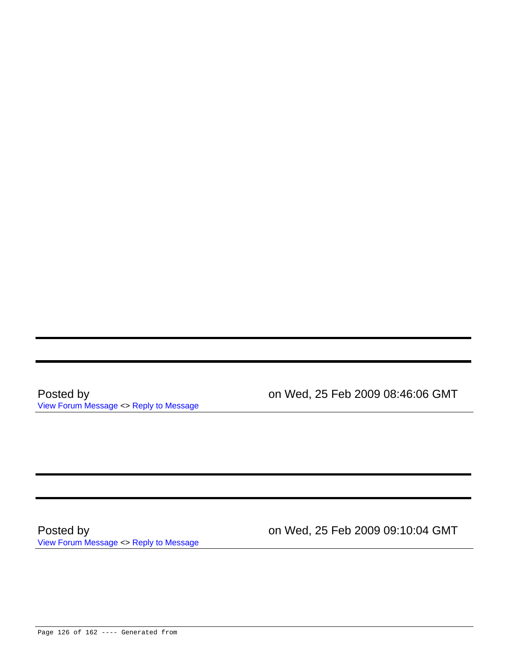Posted by on Wed, 25 Feb 2009 08:46:06 GMT

[View Forum Message](http://www.pravoverie.ru/index.php?t=rview&th=4911&goto=184651#msg_184651) <> [Reply to Message](http://www.pravoverie.ru/index.php?t=post&reply_to=184651)

Posted by on Wed, 25 Feb 2009 09:10:04 GMT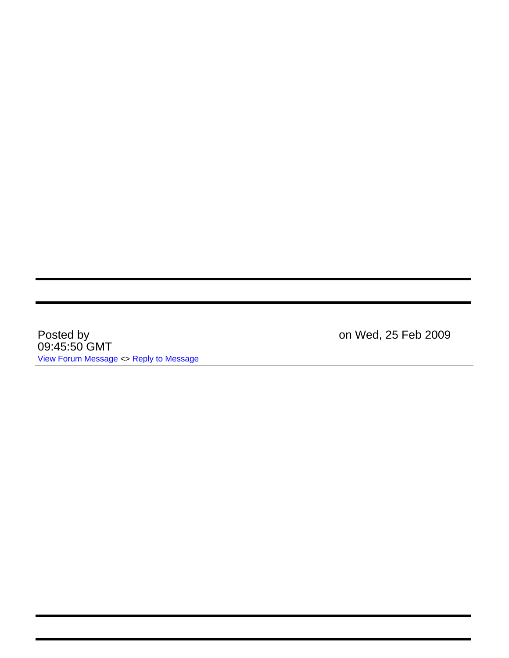Posted by<br>09:45:50 GMT [View Forum Message](http://www.pravoverie.ru/index.php?t=rview&th=4911&goto=184657#msg_184657) <> [Reply to Message](http://www.pravoverie.ru/index.php?t=post&reply_to=184657)

on Wed, 25 Feb 2009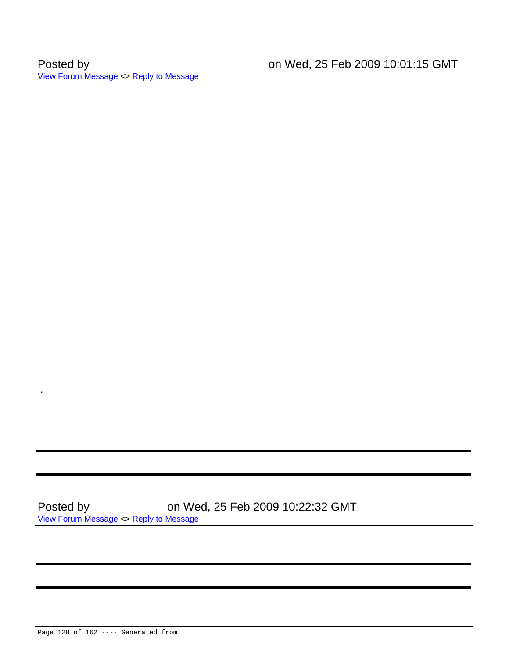on Wed, 25 Feb 2009 10:22:32 GMT [View Forum Message](http://www.pravoverie.ru/index.php?t=rview&th=4911&goto=184664#msg_184664) <> [Reply to Message](http://www.pravoverie.ru/index.php?t=post&reply_to=184664)

.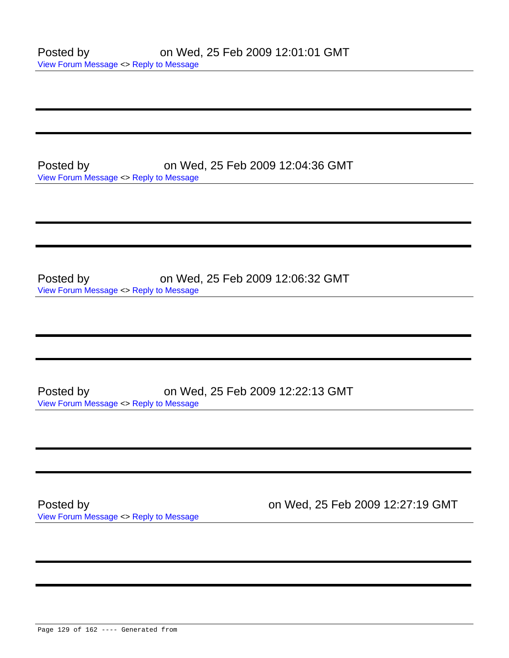Posted by on Wed, 25 Feb 2009 12:04:36 GMT [View Forum Message](http://www.pravoverie.ru/index.php?t=rview&th=4911&goto=184693#msg_184693) <> [Reply to Message](http://www.pravoverie.ru/index.php?t=post&reply_to=184693)

Posted by on Wed, 25 Feb 2009 12:06:32 GMT [View Forum Message](http://www.pravoverie.ru/index.php?t=rview&th=4911&goto=184695#msg_184695) <> [Reply to Message](http://www.pravoverie.ru/index.php?t=post&reply_to=184695)

Posted by on Wed, 25 Feb 2009 12:22:13 GMT [View Forum Message](http://www.pravoverie.ru/index.php?t=rview&th=4911&goto=184703#msg_184703) <> [Reply to Message](http://www.pravoverie.ru/index.php?t=post&reply_to=184703)

[View Forum Message](http://www.pravoverie.ru/index.php?t=rview&th=4911&goto=184705#msg_184705) <> [Reply to Message](http://www.pravoverie.ru/index.php?t=post&reply_to=184705)

Posted by on Wed, 25 Feb 2009 12:27:19 GMT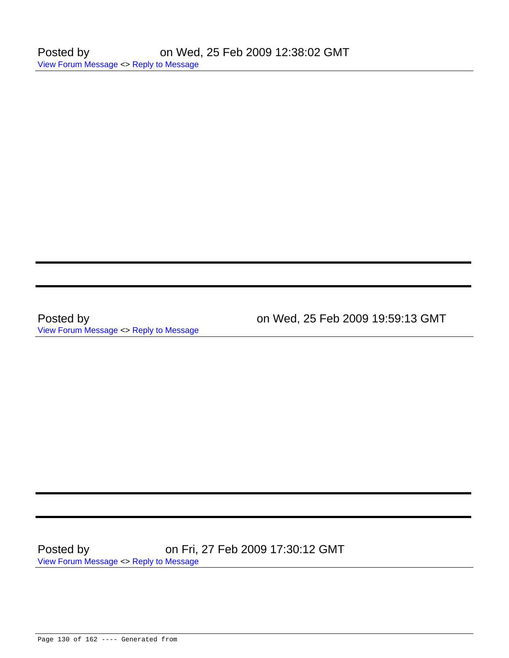Posted by on Wed, 25 Feb 2009 19:59:13 GMT

on Fri, 27 Feb 2009 17:30:12 GMT [View Forum Message](http://www.pravoverie.ru/index.php?t=rview&th=4911&goto=185015#msg_185015) <> [Reply to Message](http://www.pravoverie.ru/index.php?t=post&reply_to=185015)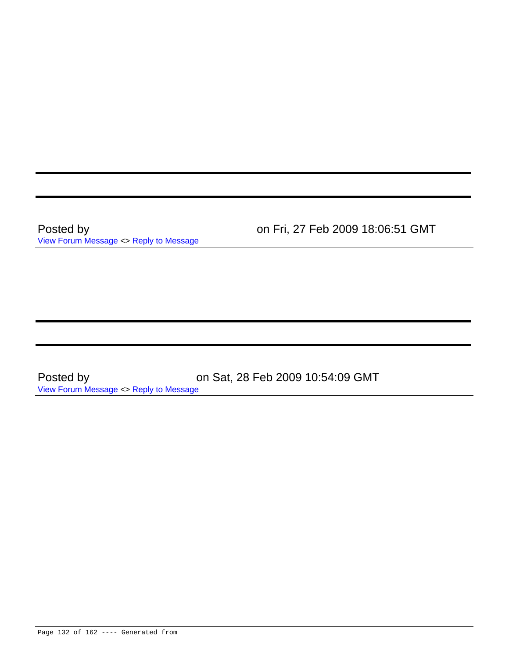on Fri, 27 Feb 2009 18:06:51 GMT

Posted by on Sat, 28 Feb 2009 10:54:09 GMT [View Forum Message](http://www.pravoverie.ru/index.php?t=rview&th=4911&goto=185062#msg_185062) <> [Reply to Message](http://www.pravoverie.ru/index.php?t=post&reply_to=185062)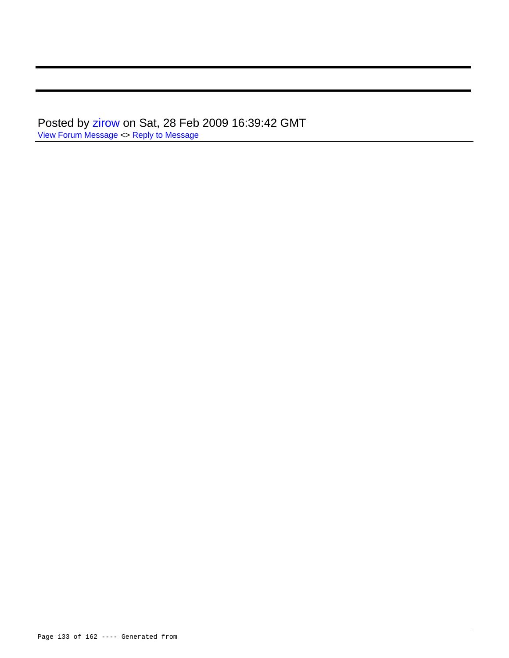## Posted by [zirow](http://www.pravoverie.ru/index.php?t=usrinfo&id=3250) on Sat, 28 Feb 2009 16:39:42 GMT [View Forum Message](http://www.pravoverie.ru/index.php?t=rview&th=4911&goto=185090#msg_185090) <> [Reply to Message](http://www.pravoverie.ru/index.php?t=post&reply_to=185090)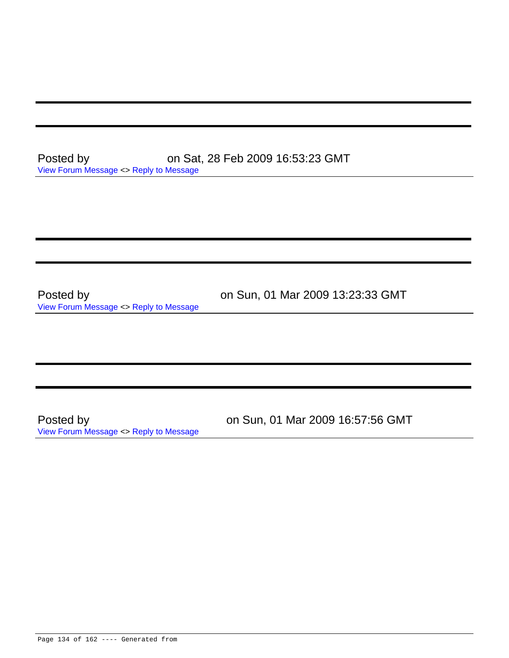| Posted by                              | on Sat, 28 Feb 2009 16:53:23 GMT |  |
|----------------------------------------|----------------------------------|--|
| View Forum Message <> Reply to Message |                                  |  |

on Sun, 01 Mar 2009 13:23:33 GMT

[View Forum Message](http://www.pravoverie.ru/index.php?t=rview&th=4911&goto=185260#msg_185260) <> [Reply to Message](http://www.pravoverie.ru/index.php?t=post&reply_to=185260)

Posted by **Disk and Sun, 01 Mar 2009 16:57:56 GMT**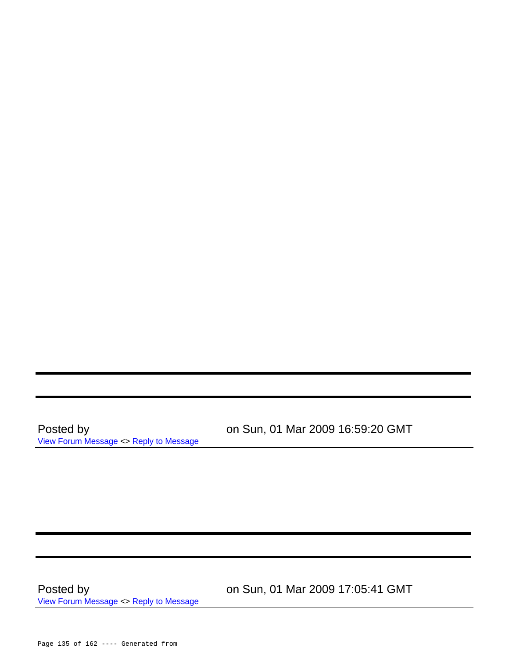Posted by **Disk and Sun, 01 Mar 2009 16:59:20 GMT** 

Posted by **Discrete Posted by CONTER 2009 17:05:41 GMT** 

[View Forum Message](http://www.pravoverie.ru/index.php?t=rview&th=4911&goto=185265#msg_185265) <> [Reply to Message](http://www.pravoverie.ru/index.php?t=post&reply_to=185265)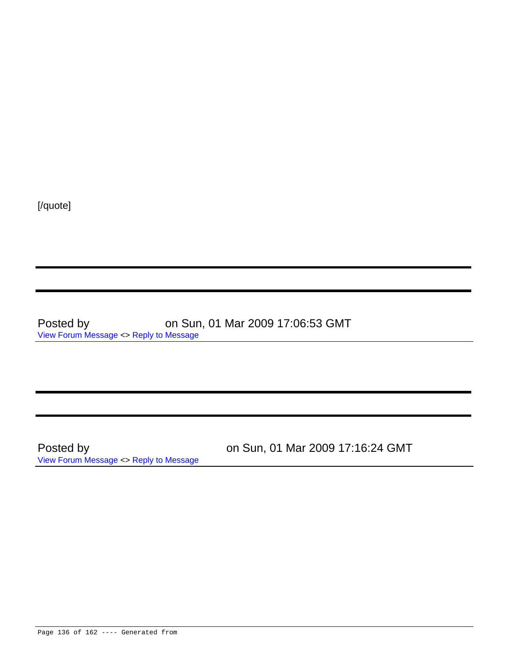[/quote]

Posted by on Sun, 01 Mar 2009 17:06:53 GMT [View Forum Message](http://www.pravoverie.ru/index.php?t=rview&th=4911&goto=185266#msg_185266) <> [Reply to Message](http://www.pravoverie.ru/index.php?t=post&reply_to=185266)

[View Forum Message](http://www.pravoverie.ru/index.php?t=rview&th=4911&goto=185270#msg_185270) <> [Reply to Message](http://www.pravoverie.ru/index.php?t=post&reply_to=185270)

Posted by on Sun, 01 Mar 2009 17:16:24 GMT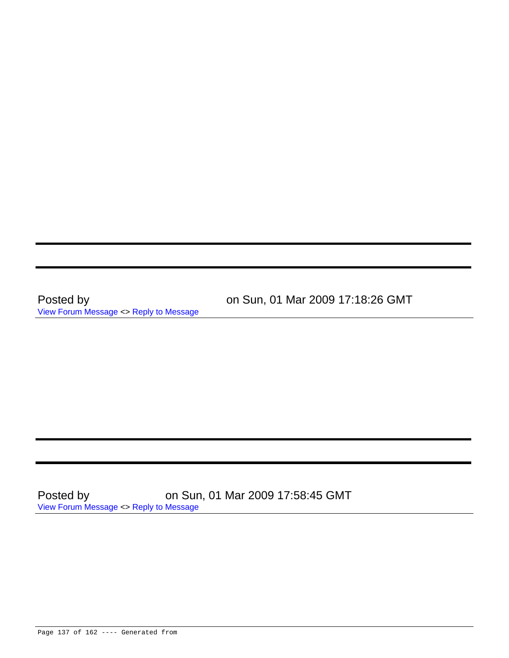Posted by **Disk and Sun, 01 Mar 2009 17:18:26 GMT** 

Posted by on Sun, 01 Mar 2009 17:58:45 GMT [View Forum Message](http://www.pravoverie.ru/index.php?t=rview&th=4911&goto=185283#msg_185283) <> [Reply to Message](http://www.pravoverie.ru/index.php?t=post&reply_to=185283)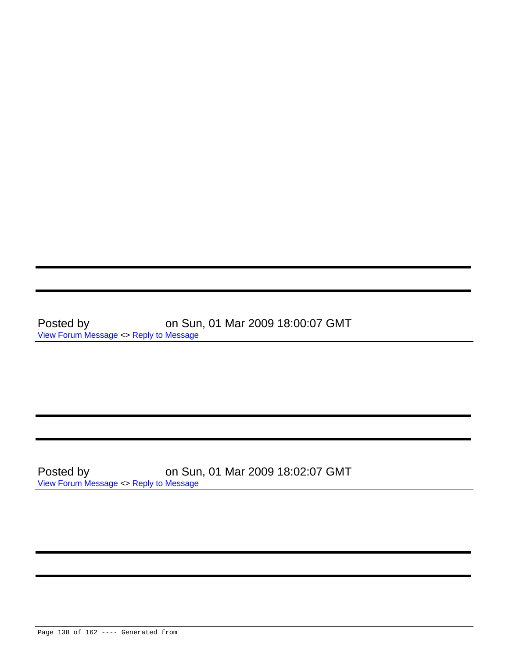Posted by on Sun, 01 Mar 2009 18:00:07 GMT [View Forum Message](http://www.pravoverie.ru/index.php?t=rview&th=4911&goto=185284#msg_185284) <> [Reply to Message](http://www.pravoverie.ru/index.php?t=post&reply_to=185284)

Posted by on Sun, 01 Mar 2009 18:02:07 GMT [View Forum Message](http://www.pravoverie.ru/index.php?t=rview&th=4911&goto=185286#msg_185286) <> [Reply to Message](http://www.pravoverie.ru/index.php?t=post&reply_to=185286)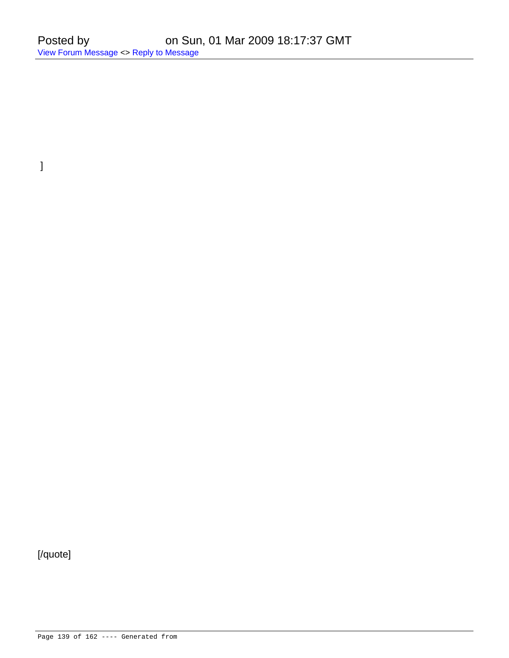]

[/quote]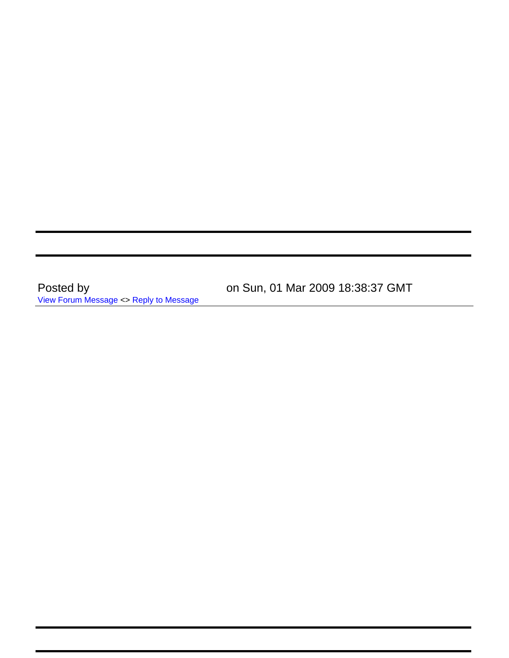on Sun, 01 Mar 2009 18:38:37 GMT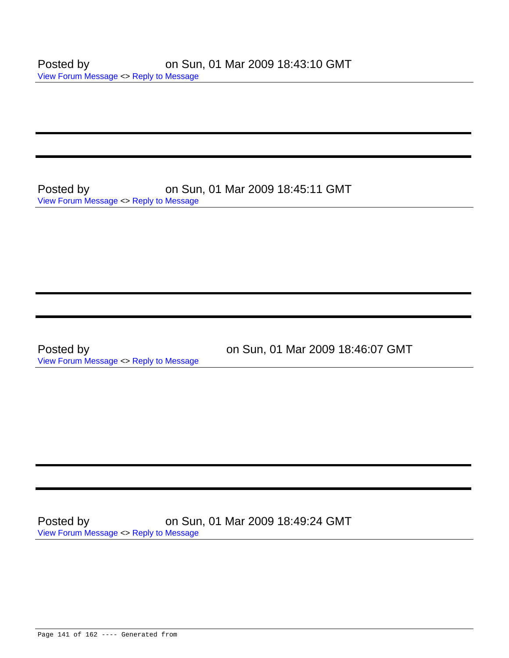Posted by on Sun, 01 Mar 2009 18:45:11 GMT [View Forum Message](http://www.pravoverie.ru/index.php?t=rview&th=4911&goto=185300#msg_185300) <> [Reply to Message](http://www.pravoverie.ru/index.php?t=post&reply_to=185300)

[View Forum Message](http://www.pravoverie.ru/index.php?t=rview&th=4911&goto=185302#msg_185302) <> [Reply to Message](http://www.pravoverie.ru/index.php?t=post&reply_to=185302)

Posted by **Disk and Sun, 01 Mar 2009 18:46:07 GMT** 

Posted by on Sun, 01 Mar 2009 18:49:24 GMT [View Forum Message](http://www.pravoverie.ru/index.php?t=rview&th=4911&goto=185306#msg_185306) <> [Reply to Message](http://www.pravoverie.ru/index.php?t=post&reply_to=185306)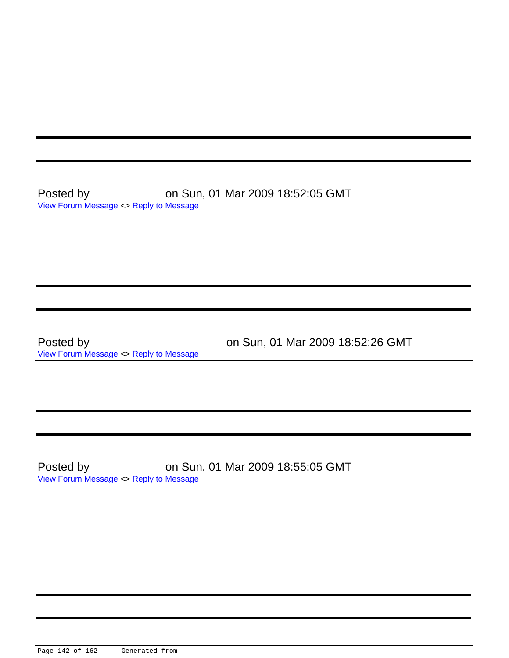| Posted by                              |  | on Sun, 01 Mar 2009 18:52:05 GMT |  |
|----------------------------------------|--|----------------------------------|--|
| View Forum Message <> Reply to Message |  |                                  |  |

Posted by **Disk and Sun, 01 Mar 2009 18:52:26 GMT** 

Posted by on Sun, 01 Mar 2009 18:55:05 GMT [View Forum Message](http://www.pravoverie.ru/index.php?t=rview&th=4911&goto=185311#msg_185311) <> [Reply to Message](http://www.pravoverie.ru/index.php?t=post&reply_to=185311)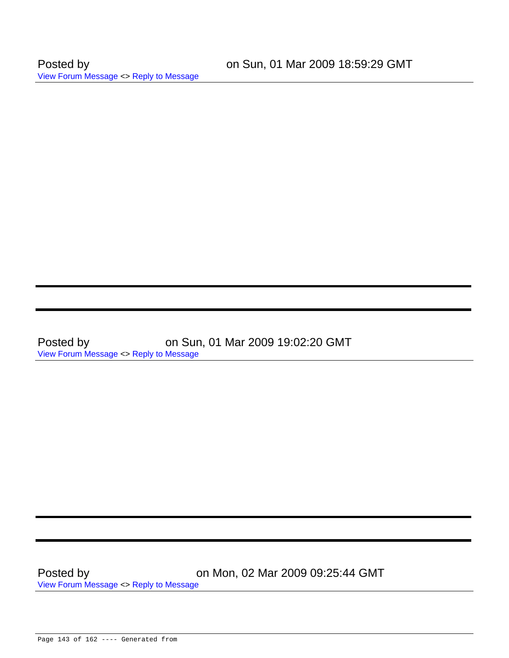on Sun, 01 Mar 2009 19:02:20 GMT [View Forum Message](http://www.pravoverie.ru/index.php?t=rview&th=4911&goto=185314#msg_185314) <> [Reply to Message](http://www.pravoverie.ru/index.php?t=post&reply_to=185314)

Posted by on Mon, 02 Mar 2009 09:25:44 GMT [View Forum Message](http://www.pravoverie.ru/index.php?t=rview&th=4911&goto=185360#msg_185360) <> [Reply to Message](http://www.pravoverie.ru/index.php?t=post&reply_to=185360)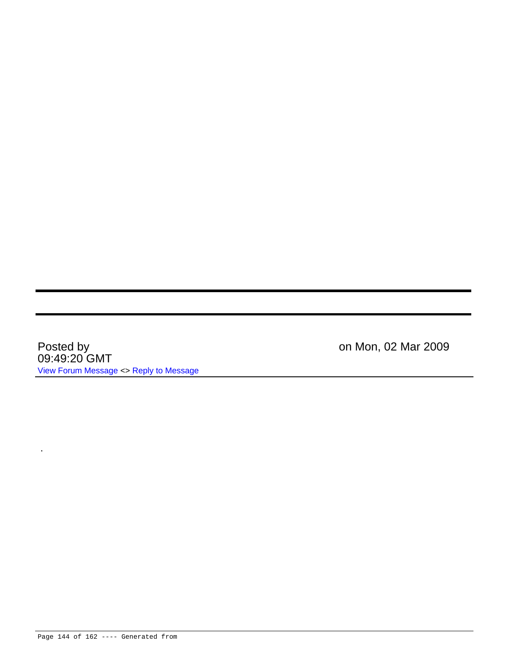Posted by<br>09:49:20 GMT [View Forum Message](http://www.pravoverie.ru/index.php?t=rview&th=4911&goto=185363#msg_185363) <> [Reply to Message](http://www.pravoverie.ru/index.php?t=post&reply_to=185363)

.

on Mon, 02 Mar 2009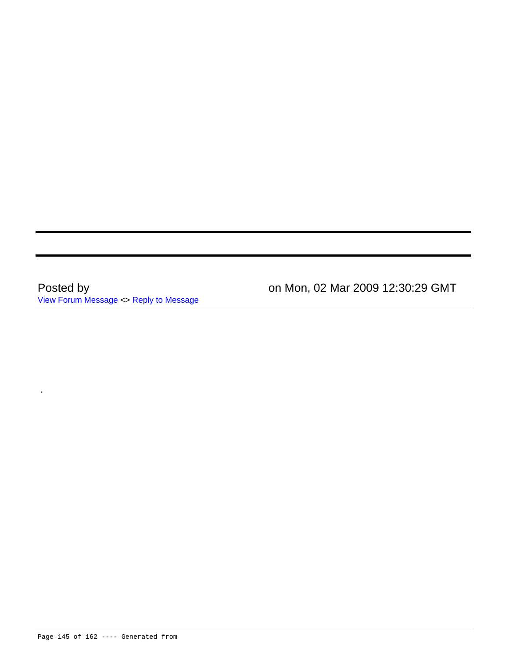Posted by<br>[View Forum Message](http://www.pravoverie.ru/index.php?t=rview&th=4911&goto=185385#msg_185385) <> [Reply to Message](http://www.pravoverie.ru/index.php?t=post&reply_to=185385)

.

on Mon, 02 Mar 2009 12:30:29 GMT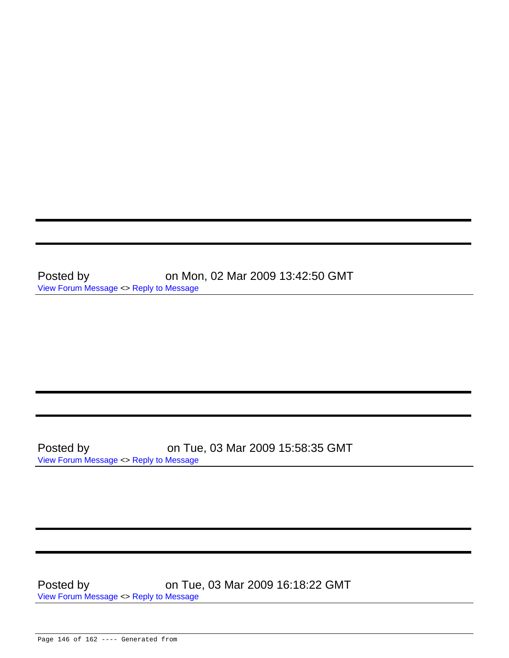## on Mon, 02 Mar 2009 13:42:50 GMT Posted by on Mon<br>[View Forum Message](http://www.pravoverie.ru/index.php?t=rview&th=4911&goto=185390#msg_185390) <> [Reply to Message](http://www.pravoverie.ru/index.php?t=post&reply_to=185390)

on Tue, 03 Mar 2009 15:58:35 GMT Posted by on Tue<br>[View Forum Message](http://www.pravoverie.ru/index.php?t=rview&th=4911&goto=185513#msg_185513) <> [Reply to Message](http://www.pravoverie.ru/index.php?t=post&reply_to=185513)

Posted by on Tue, 03 Mar 2009 16:18:22 GMT [View Forum Message](http://www.pravoverie.ru/index.php?t=rview&th=4911&goto=185515#msg_185515) <> [Reply to Message](http://www.pravoverie.ru/index.php?t=post&reply_to=185515)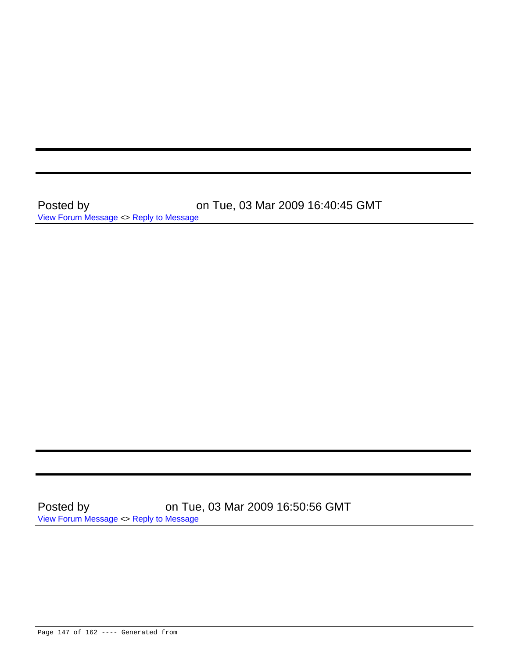Posted by on Tue, 03 Mar 2009 16:40:45 GMT [View Forum Message](http://www.pravoverie.ru/index.php?t=rview&th=4911&goto=185519#msg_185519) <> [Reply to Message](http://www.pravoverie.ru/index.php?t=post&reply_to=185519)

on Tue, 03 Mar 2009 16:50:56 GMT [View Forum Message](http://www.pravoverie.ru/index.php?t=rview&th=4911&goto=185522#msg_185522) <> [Reply to Message](http://www.pravoverie.ru/index.php?t=post&reply_to=185522)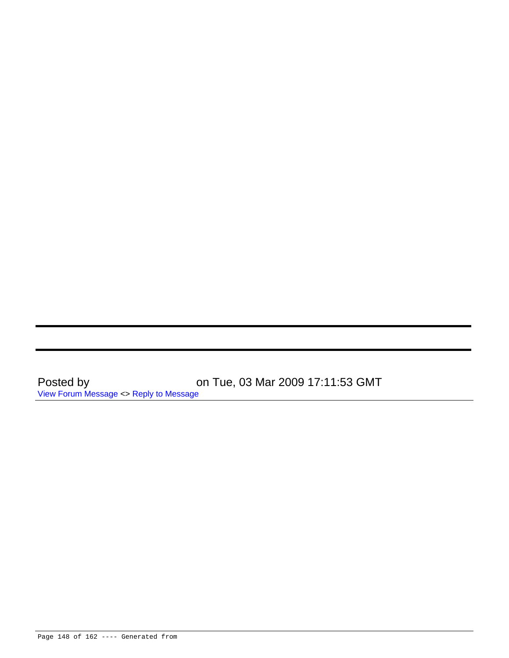on Tue, 03 Mar 2009 17:11:53 GMT Posted by<br>[View Forum Message](http://www.pravoverie.ru/index.php?t=rview&th=4911&goto=185526#msg_185526) <> [Reply to Message](http://www.pravoverie.ru/index.php?t=post&reply_to=185526)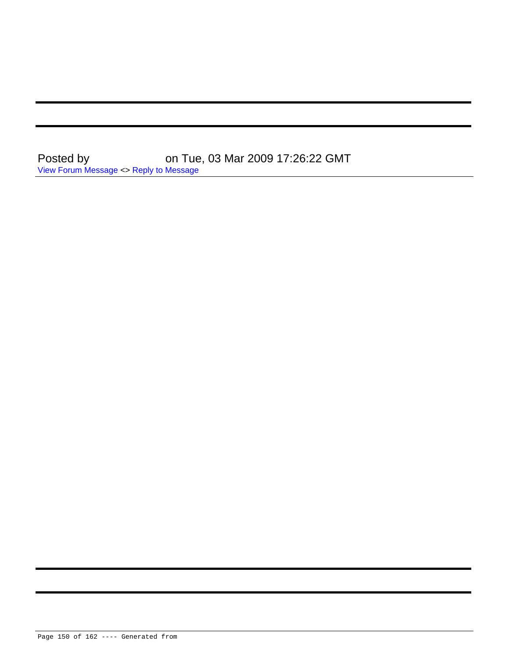Posted by on Tue, 03 Mar 2009 17:26:22 GMT [View Forum Message](http://www.pravoverie.ru/index.php?t=rview&th=4911&goto=185528#msg_185528) <> [Reply to Message](http://www.pravoverie.ru/index.php?t=post&reply_to=185528)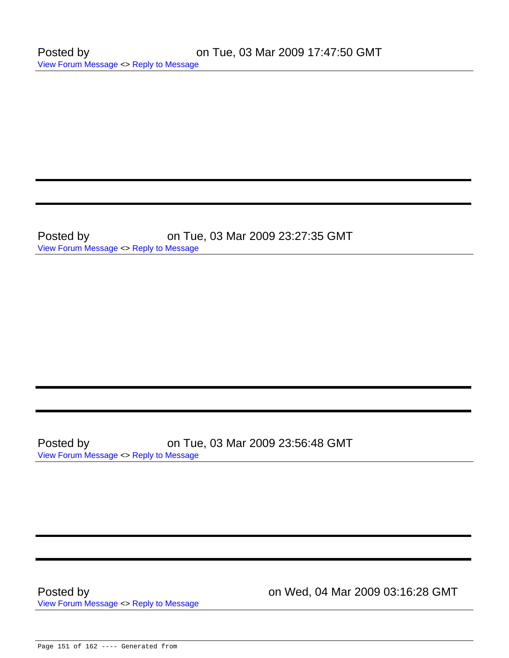| Posted by                              | on Tue, 03 Mar 2009 23:27:35 GMT |  |
|----------------------------------------|----------------------------------|--|
| View Forum Message <> Reply to Message |                                  |  |

Posted by on Tue, 03 Mar 2009 23:56:48 GMT [View Forum Message](http://www.pravoverie.ru/index.php?t=rview&th=4911&goto=185556#msg_185556) <> [Reply to Message](http://www.pravoverie.ru/index.php?t=post&reply_to=185556)

Posted by **Posted by Senative Concernsive Concernsive Concernsive Concernsive Concernsive Concernsive Concernsive Concernsive Concernsive Concernsive Concernsive Concernsive Concernsive Concernsive Concernsive Concernsive** [View Forum Message](http://www.pravoverie.ru/index.php?t=rview&th=4911&goto=185557#msg_185557) <> [Reply to Message](http://www.pravoverie.ru/index.php?t=post&reply_to=185557)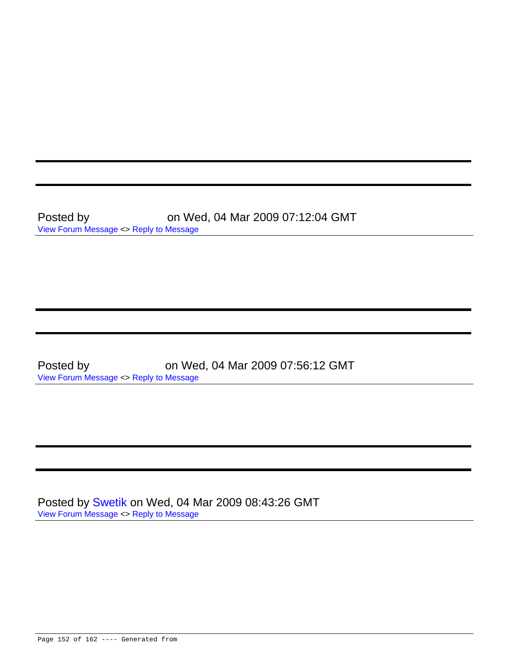Posted by on Wed, 04 Mar 2009 07:12:04 GMT [View Forum Message](http://www.pravoverie.ru/index.php?t=rview&th=4911&goto=185572#msg_185572) <> [Reply to Message](http://www.pravoverie.ru/index.php?t=post&reply_to=185572)

Posted by on Wed, 04 Mar 2009 07:56:12 GMT [View Forum Message](http://www.pravoverie.ru/index.php?t=rview&th=4911&goto=185579#msg_185579) <> [Reply to Message](http://www.pravoverie.ru/index.php?t=post&reply_to=185579)

Posted by [Swetik](http://www.pravoverie.ru/index.php?t=usrinfo&id=2888) on Wed, 04 Mar 2009 08:43:26 GMT [View Forum Message](http://www.pravoverie.ru/index.php?t=rview&th=4911&goto=185584#msg_185584) <> [Reply to Message](http://www.pravoverie.ru/index.php?t=post&reply_to=185584)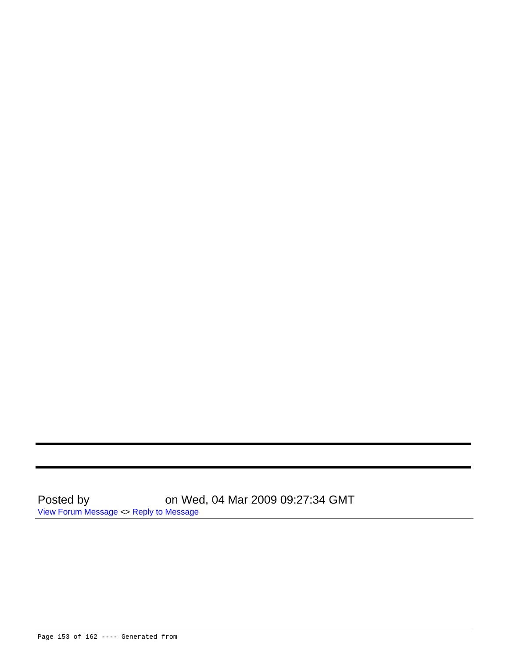on Wed, 04 Mar 2009 09:27:34 GMT Posted by on Wed<br>[View Forum Message](http://www.pravoverie.ru/index.php?t=rview&th=4911&goto=185594#msg_185594) <> [Reply to Message](http://www.pravoverie.ru/index.php?t=post&reply_to=185594)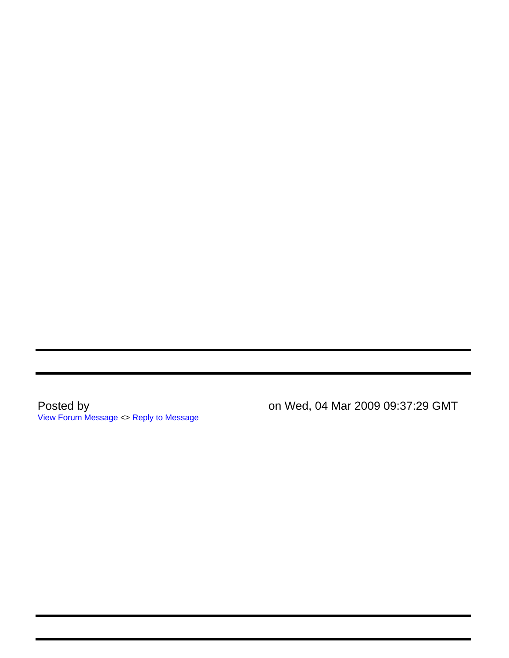Posted by<br>[View Forum Message](http://www.pravoverie.ru/index.php?t=rview&th=4911&goto=185596#msg_185596) <> [Reply to Message](http://www.pravoverie.ru/index.php?t=post&reply_to=185596)

on Wed, 04 Mar 2009 09:37:29 GMT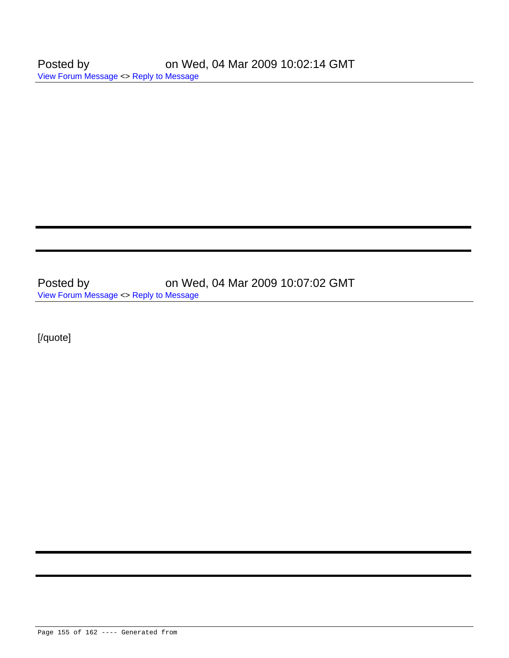Posted by on Wed, 04 Mar 2009 10:07:02 GMT [View Forum Message](http://www.pravoverie.ru/index.php?t=rview&th=4911&goto=185599#msg_185599) <> [Reply to Message](http://www.pravoverie.ru/index.php?t=post&reply_to=185599)

[/quote]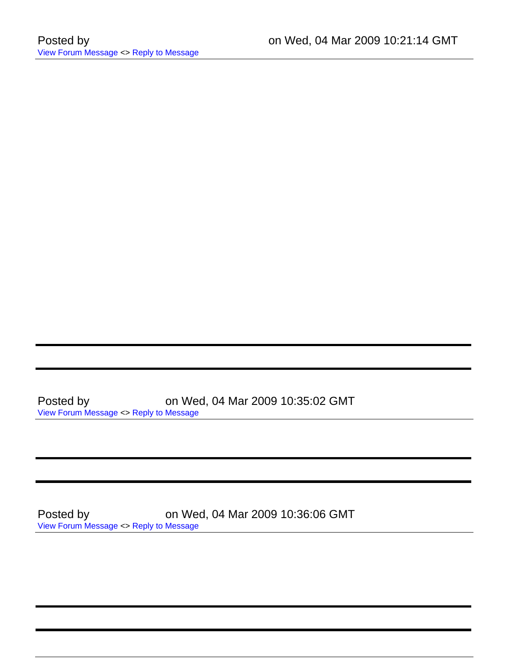Posted by on Wed, 04 Mar 2009 10:35:02 GMT [View Forum Message](http://www.pravoverie.ru/index.php?t=rview&th=4911&goto=185601#msg_185601) <> [Reply to Message](http://www.pravoverie.ru/index.php?t=post&reply_to=185601)

Posted by on Wed, 04 Mar 2009 10:36:06 GMT [View Forum Message](http://www.pravoverie.ru/index.php?t=rview&th=4911&goto=185602#msg_185602) <> [Reply to Message](http://www.pravoverie.ru/index.php?t=post&reply_to=185602)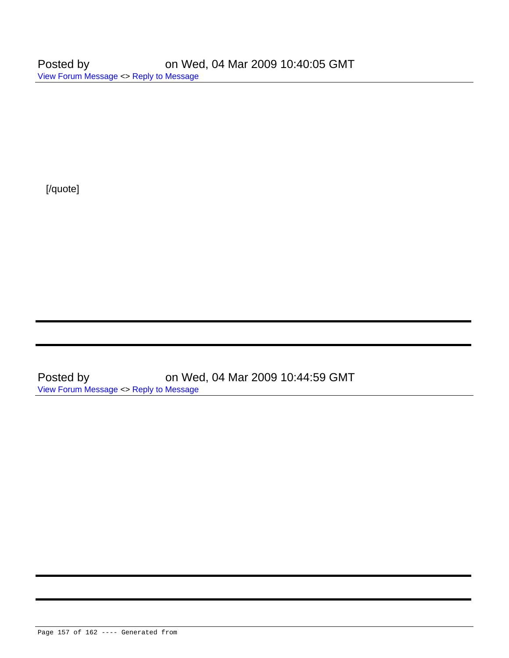[/quote]

Posted by on Wed, 04 Mar 2009 10:44:59 GMT [View Forum Message](http://www.pravoverie.ru/index.php?t=rview&th=4911&goto=185606#msg_185606) <> [Reply to Message](http://www.pravoverie.ru/index.php?t=post&reply_to=185606)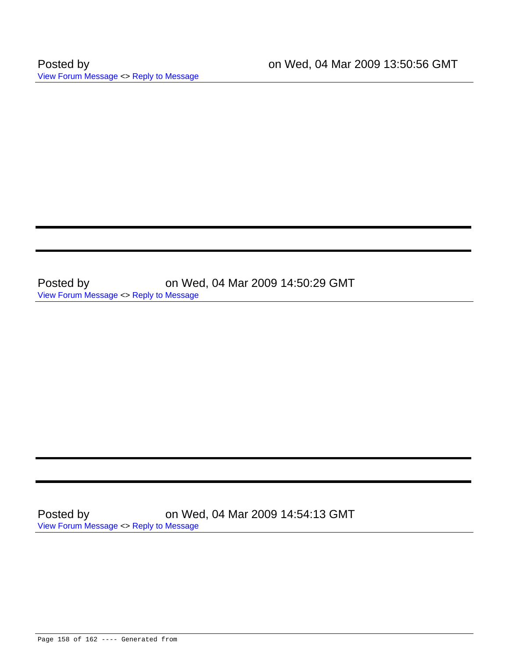on Wed, 04 Mar 2009 14:50:29 GMT [View Forum Message](http://www.pravoverie.ru/index.php?t=rview&th=4911&goto=185657#msg_185657) <> [Reply to Message](http://www.pravoverie.ru/index.php?t=post&reply_to=185657)

Posted by on Wed, 04 Mar 2009 14:54:13 GMT [View Forum Message](http://www.pravoverie.ru/index.php?t=rview&th=4911&goto=185659#msg_185659) <> [Reply to Message](http://www.pravoverie.ru/index.php?t=post&reply_to=185659)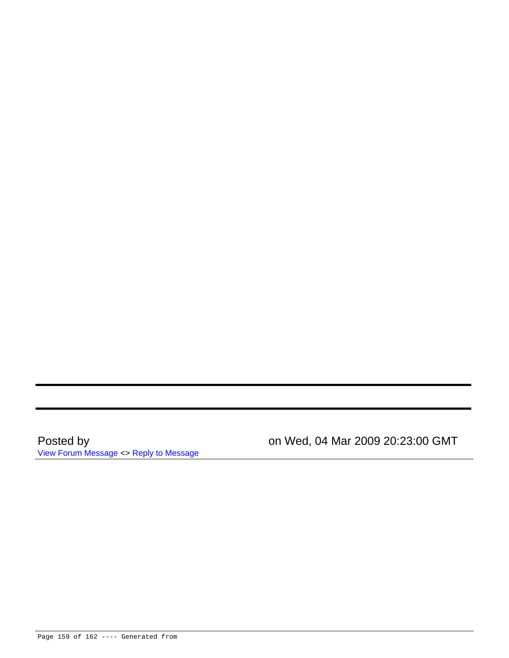[View Forum Message](http://www.pravoverie.ru/index.php?t=rview&th=4911&goto=185678#msg_185678) <> [Reply to Message](http://www.pravoverie.ru/index.php?t=post&reply_to=185678)

Posted by **Posted by CONTINGLE 2009 20:23:00 GMT**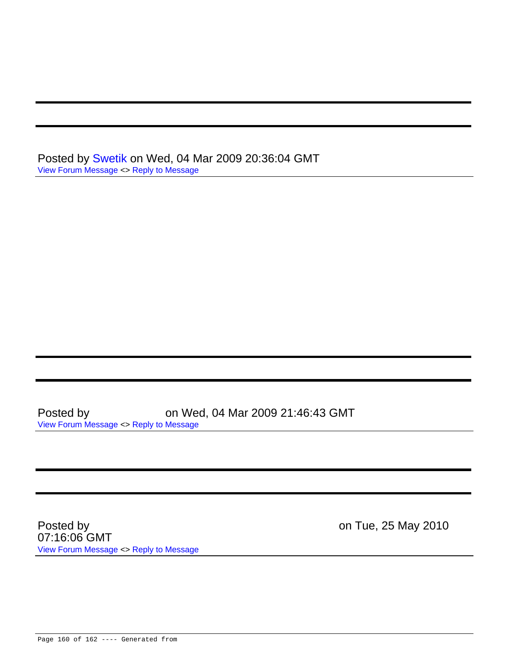Posted by [Swetik](http://www.pravoverie.ru/index.php?t=usrinfo&id=2888) on Wed, 04 Mar 2009 20:36:04 GMT [View Forum Message](http://www.pravoverie.ru/index.php?t=rview&th=4911&goto=185679#msg_185679) <> [Reply to Message](http://www.pravoverie.ru/index.php?t=post&reply_to=185679)

Posted by on Wed, 04 Mar 2009 21:46:43 GMT [View Forum Message](http://www.pravoverie.ru/index.php?t=rview&th=4911&goto=185685#msg_185685) <> [Reply to Message](http://www.pravoverie.ru/index.php?t=post&reply_to=185685)

Posted by **Posted by Posted by Posted by on Tue, 25 May 2010** 07:16:06 GMT [View Forum Message](http://www.pravoverie.ru/index.php?t=rview&th=4911&goto=237176#msg_237176) <> [Reply to Message](http://www.pravoverie.ru/index.php?t=post&reply_to=237176)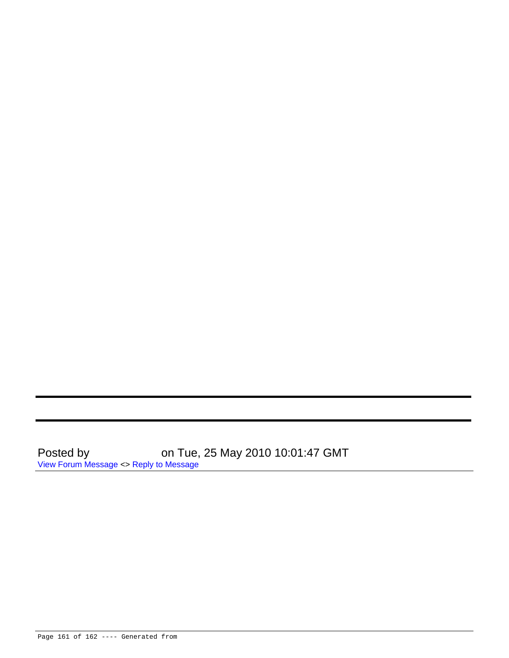Posted by on Tue, 25 May 2010 10:01:47 GMT [View Forum Message](http://www.pravoverie.ru/index.php?t=rview&th=4911&goto=237202#msg_237202) <> [Reply to Message](http://www.pravoverie.ru/index.php?t=post&reply_to=237202)